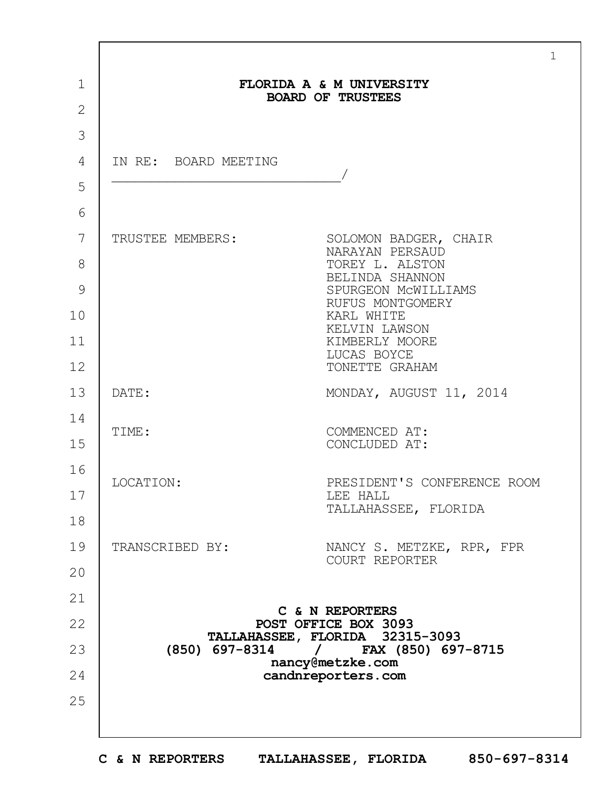|                |                      | $\mathbf{1}$                                            |  |
|----------------|----------------------|---------------------------------------------------------|--|
| $\mathbf 1$    |                      | FLORIDA A & M UNIVERSITY                                |  |
| $\overline{2}$ |                      | <b>BOARD OF TRUSTEES</b>                                |  |
| 3              |                      |                                                         |  |
| 4              | IN RE: BOARD MEETING |                                                         |  |
| 5              |                      |                                                         |  |
| 6              |                      |                                                         |  |
| 7              | TRUSTEE MEMBERS:     | SOLOMON BADGER, CHAIR<br>NARAYAN PERSAUD                |  |
| 8              |                      | TOREY L. ALSTON<br>BELINDA SHANNON                      |  |
| 9              |                      | SPURGEON MCWILLIAMS<br>RUFUS MONTGOMERY                 |  |
| 10             |                      | KARL WHITE<br>KELVIN LAWSON                             |  |
| 11             |                      | KIMBERLY MOORE<br>LUCAS BOYCE                           |  |
| 12             |                      | TONETTE GRAHAM                                          |  |
| 13             | DATE:                | MONDAY, AUGUST 11, 2014                                 |  |
| 14             | TIME:                | COMMENCED AT:                                           |  |
| 15             |                      | CONCLUDED AT:                                           |  |
| 16             | LOCATION:            | PRESIDENT'S CONFERENCE ROOM                             |  |
| 17             |                      | LEE HALL<br>TALLAHASSEE, FLORIDA                        |  |
| 18             |                      |                                                         |  |
| 19             | TRANSCRIBED BY:      | NANCY S. METZKE, RPR, FPR<br>COURT REPORTER             |  |
| 20             |                      |                                                         |  |
| 21             |                      | C & N REPORTERS                                         |  |
| 22             |                      | POST OFFICE BOX 3093<br>TALLAHASSEE, FLORIDA 32315-3093 |  |
| 23             |                      | (850) 697-8314 / FAX (850) 697-8715<br>nancy@metzke.com |  |
| 24             |                      | candnreporters.com                                      |  |
| 25             |                      |                                                         |  |
|                |                      |                                                         |  |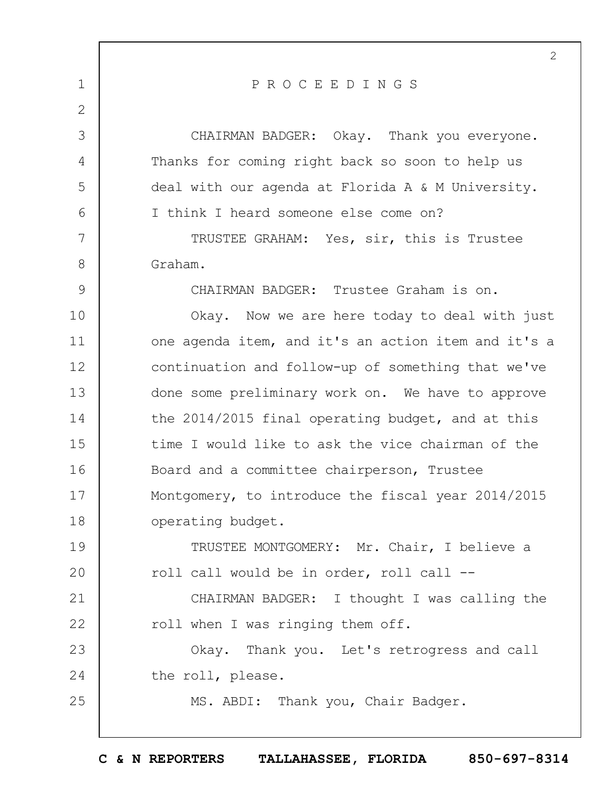|               | $\overline{2}$                                      |
|---------------|-----------------------------------------------------|
| $\mathbf 1$   | PROCEEDINGS                                         |
| $\mathbf{2}$  |                                                     |
| 3             | CHAIRMAN BADGER: Okay. Thank you everyone.          |
| 4             | Thanks for coming right back so soon to help us     |
| 5             | deal with our agenda at Florida A & M University.   |
| 6             | I think I heard someone else come on?               |
| 7             | TRUSTEE GRAHAM: Yes, sir, this is Trustee           |
| 8             | Graham.                                             |
| $\mathcal{G}$ | CHAIRMAN BADGER: Trustee Graham is on.              |
| 10            | Okay. Now we are here today to deal with just       |
| 11            | one agenda item, and it's an action item and it's a |
| 12            | continuation and follow-up of something that we've  |
| 13            | done some preliminary work on. We have to approve   |
| 14            | the 2014/2015 final operating budget, and at this   |
| 15            | time I would like to ask the vice chairman of the   |
| 16            | Board and a committee chairperson, Trustee          |
| 17            | Montgomery, to introduce the fiscal year 2014/2015  |
| 18            | operating budget.                                   |
| 19            | TRUSTEE MONTGOMERY: Mr. Chair, I believe a          |
| 20            | roll call would be in order, roll call --           |
| 21            | CHAIRMAN BADGER: I thought I was calling the        |
| 22            | roll when I was ringing them off.                   |
| 23            | Okay. Thank you. Let's retrogress and call          |
| 24            | the roll, please.                                   |
| 25            | MS. ABDI: Thank you, Chair Badger.                  |
|               |                                                     |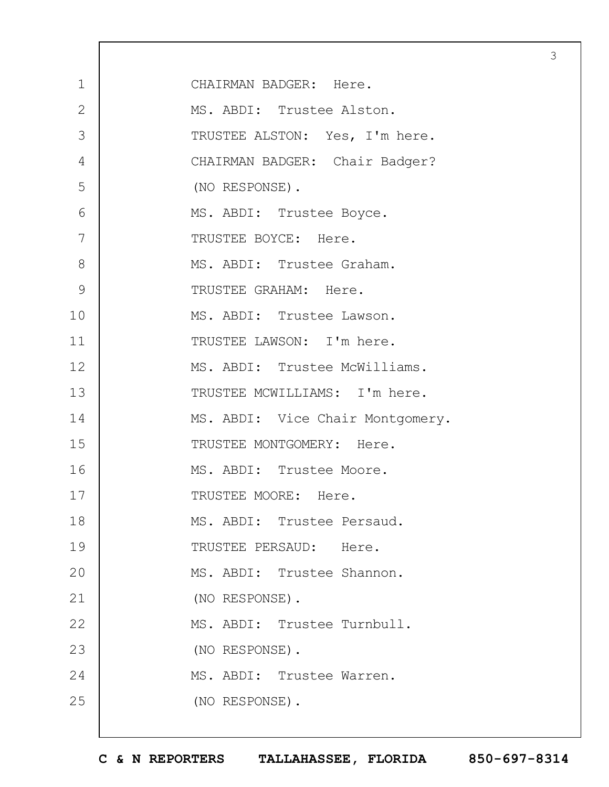| $\mathbf 1$    | CHAIRMAN BADGER: Here.           |
|----------------|----------------------------------|
| $\overline{2}$ | MS. ABDI: Trustee Alston.        |
| 3              | TRUSTEE ALSTON: Yes, I'm here.   |
| 4              | CHAIRMAN BADGER: Chair Badger?   |
| 5              | (NO RESPONSE).                   |
| 6              | MS. ABDI: Trustee Boyce.         |
| 7              | TRUSTEE BOYCE: Here.             |
| 8              | MS. ABDI: Trustee Graham.        |
| 9              | TRUSTEE GRAHAM: Here.            |
| 10             | MS. ABDI: Trustee Lawson.        |
| 11             | TRUSTEE LAWSON: I'm here.        |
| 12             | MS. ABDI: Trustee McWilliams.    |
| 13             | TRUSTEE MCWILLIAMS: I'm here.    |
| 14             | MS. ABDI: Vice Chair Montgomery. |
| 15             | TRUSTEE MONTGOMERY: Here.        |
| 16             | MS. ABDI: Trustee Moore.         |
| 17             | TRUSTEE MOORE: Here.             |
| 18             | MS. ABDI: Trustee Persaud.       |
| 19             | TRUSTEE PERSAUD: Here.           |
| 20             | MS. ABDI: Trustee Shannon.       |
| 21             | (NO RESPONSE).                   |
| 22             | MS. ABDI: Trustee Turnbull.      |
| 23             | (NO RESPONSE).                   |
| 24             | MS. ABDI: Trustee Warren.        |
| 25             | (NO RESPONSE).                   |
|                |                                  |

 $\Gamma$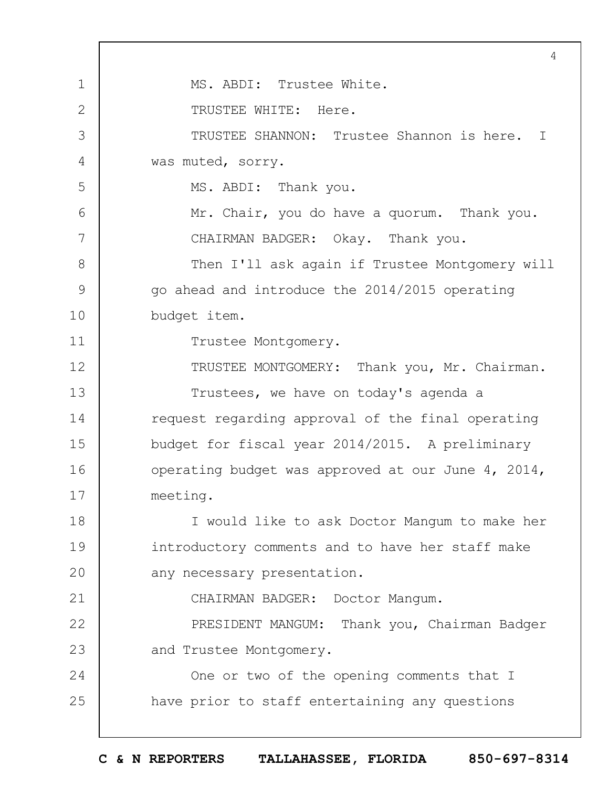1 2 3 4 5 6 7 8 9 10 11 12 13 14 15 16 17 18 19  $20$ 21 22 23 24 25 4 MS. ABDI: Trustee White. TRUSTEE WHITE: Here. TRUSTEE SHANNON: Trustee Shannon is here. I was muted, sorry. MS. ABDI: Thank you. Mr. Chair, you do have a quorum. Thank you. CHAIRMAN BADGER: Okay. Thank you. Then I'll ask again if Trustee Montgomery will go ahead and introduce the 2014/2015 operating budget item. Trustee Montgomery. TRUSTEE MONTGOMERY: Thank you, Mr. Chairman. Trustees, we have on today's agenda a request regarding approval of the final operating budget for fiscal year 2014/2015. A preliminary operating budget was approved at our June 4, 2014, meeting. I would like to ask Doctor Mangum to make her introductory comments and to have her staff make any necessary presentation. CHAIRMAN BADGER: Doctor Mangum. PRESIDENT MANGUM: Thank you, Chairman Badger and Trustee Montgomery. One or two of the opening comments that I have prior to staff entertaining any questions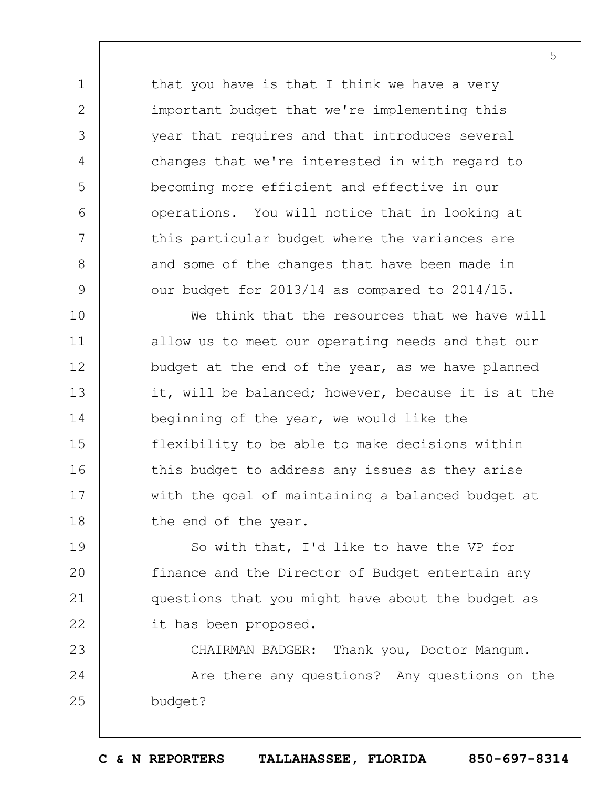that you have is that I think we have a very important budget that we're implementing this year that requires and that introduces several changes that we're interested in with regard to becoming more efficient and effective in our operations. You will notice that in looking at this particular budget where the variances are and some of the changes that have been made in our budget for 2013/14 as compared to 2014/15.

1

2

3

4

5

6

7

8

9

10 11 12 13 14 15 16 17 18 We think that the resources that we have will allow us to meet our operating needs and that our budget at the end of the year, as we have planned it, will be balanced; however, because it is at the beginning of the year, we would like the flexibility to be able to make decisions within this budget to address any issues as they arise with the goal of maintaining a balanced budget at the end of the year.

19  $20$ 21 22 So with that, I'd like to have the VP for finance and the Director of Budget entertain any questions that you might have about the budget as it has been proposed.

23 24 25 CHAIRMAN BADGER: Thank you, Doctor Mangum. Are there any questions? Any questions on the budget?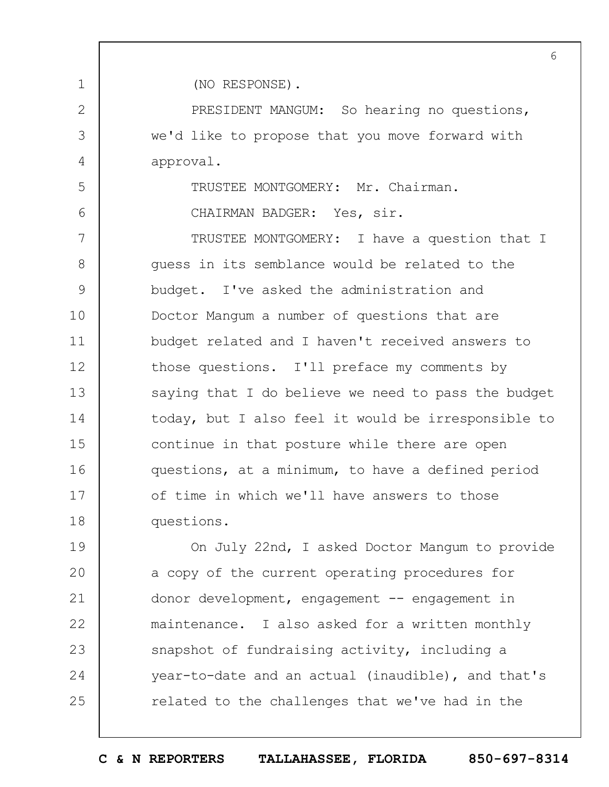6

(NO RESPONSE).

1

2

3

4

5

6

PRESIDENT MANGUM: So hearing no questions, we'd like to propose that you move forward with approval.

TRUSTEE MONTGOMERY: Mr. Chairman.

CHAIRMAN BADGER: Yes, sir.

7 8 9 10 11 12 13 14 15 16 17 18 TRUSTEE MONTGOMERY: I have a question that I guess in its semblance would be related to the budget. I've asked the administration and Doctor Mangum a number of questions that are budget related and I haven't received answers to those questions. I'll preface my comments by saying that I do believe we need to pass the budget today, but I also feel it would be irresponsible to continue in that posture while there are open questions, at a minimum, to have a defined period of time in which we'll have answers to those questions.

19  $20$ 21 22 23 24 25 On July 22nd, I asked Doctor Mangum to provide a copy of the current operating procedures for donor development, engagement -- engagement in maintenance. I also asked for a written monthly snapshot of fundraising activity, including a year-to-date and an actual (inaudible), and that's related to the challenges that we've had in the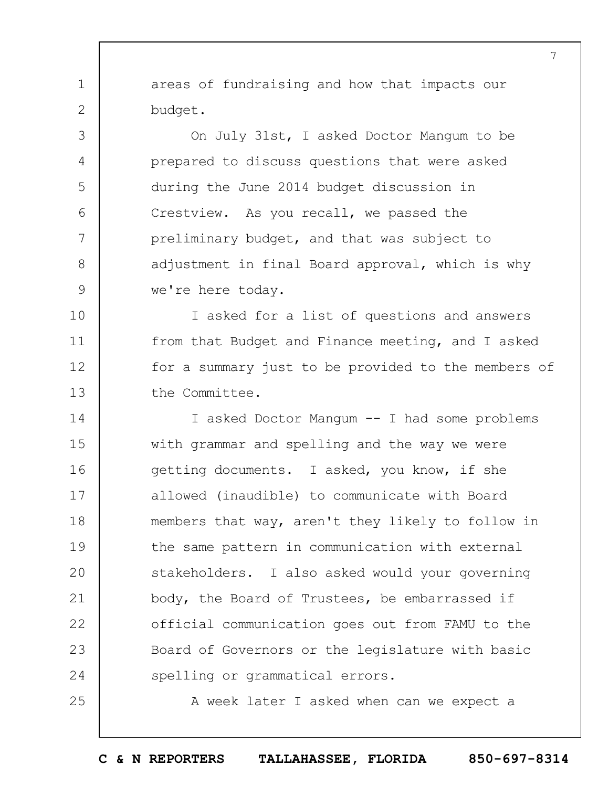areas of fundraising and how that impacts our budget.

1

2

3

4

5

6

7

8

9

25

On July 31st, I asked Doctor Mangum to be prepared to discuss questions that were asked during the June 2014 budget discussion in Crestview. As you recall, we passed the preliminary budget, and that was subject to adjustment in final Board approval, which is why we're here today.

10 11 12 13 I asked for a list of questions and answers from that Budget and Finance meeting, and I asked for a summary just to be provided to the members of the Committee.

14 15 16 17 18 19  $20$ 21 22 23 24 I asked Doctor Mangum -- I had some problems with grammar and spelling and the way we were getting documents. I asked, you know, if she allowed (inaudible) to communicate with Board members that way, aren't they likely to follow in the same pattern in communication with external stakeholders. I also asked would your governing body, the Board of Trustees, be embarrassed if official communication goes out from FAMU to the Board of Governors or the legislature with basic spelling or grammatical errors.

A week later I asked when can we expect a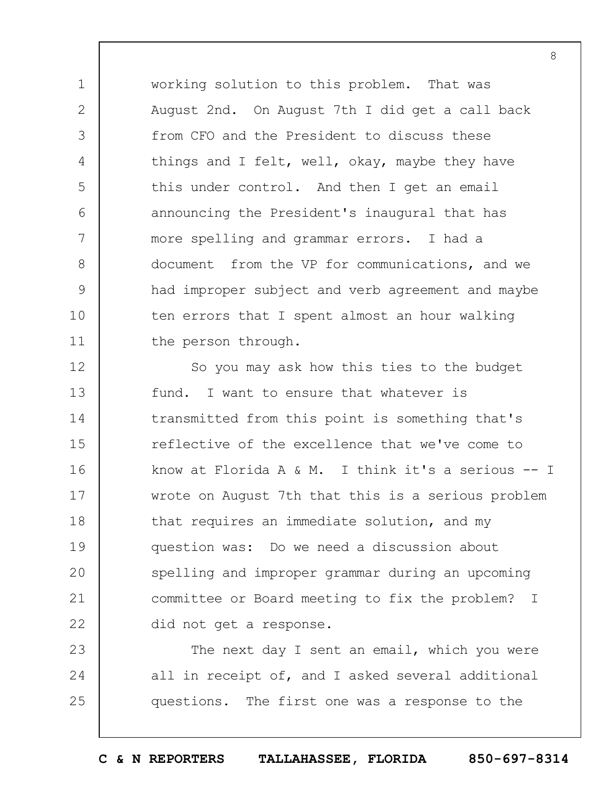working solution to this problem. That was August 2nd. On August 7th I did get a call back from CFO and the President to discuss these things and I felt, well, okay, maybe they have this under control. And then I get an email announcing the President's inaugural that has more spelling and grammar errors. I had a document from the VP for communications, and we had improper subject and verb agreement and maybe ten errors that I spent almost an hour walking the person through.

1

2

3

4

5

6

7

8

9

10

11

12 13 14 15 16 17 18 19  $20$ 21 22 So you may ask how this ties to the budget fund. I want to ensure that whatever is transmitted from this point is something that's reflective of the excellence that we've come to know at Florida A & M. I think it's a serious -- I wrote on August 7th that this is a serious problem that requires an immediate solution, and my question was: Do we need a discussion about spelling and improper grammar during an upcoming committee or Board meeting to fix the problem? I did not get a response.

23 24 25 The next day I sent an email, which you were all in receipt of, and I asked several additional questions. The first one was a response to the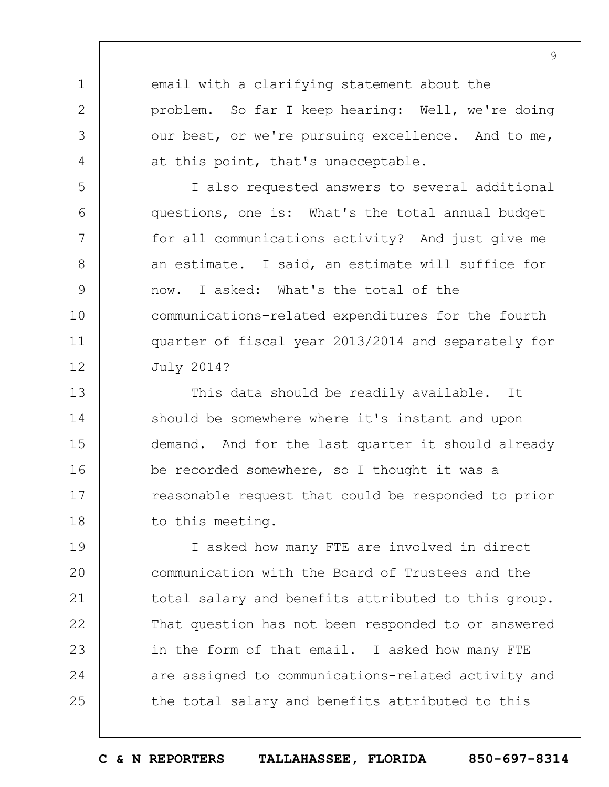email with a clarifying statement about the problem. So far I keep hearing: Well, we're doing our best, or we're pursuing excellence. And to me, at this point, that's unacceptable.

1

2

3

4

5

6

7

8

9

10

11

12

I also requested answers to several additional questions, one is: What's the total annual budget for all communications activity? And just give me an estimate. I said, an estimate will suffice for now. I asked: What's the total of the communications-related expenditures for the fourth quarter of fiscal year 2013/2014 and separately for July 2014?

13 14 15 16 17 18 This data should be readily available. It should be somewhere where it's instant and upon demand. And for the last quarter it should already be recorded somewhere, so I thought it was a reasonable request that could be responded to prior to this meeting.

19  $20$ 21 22 23 24 25 I asked how many FTE are involved in direct communication with the Board of Trustees and the total salary and benefits attributed to this group. That question has not been responded to or answered in the form of that email. I asked how many FTE are assigned to communications-related activity and the total salary and benefits attributed to this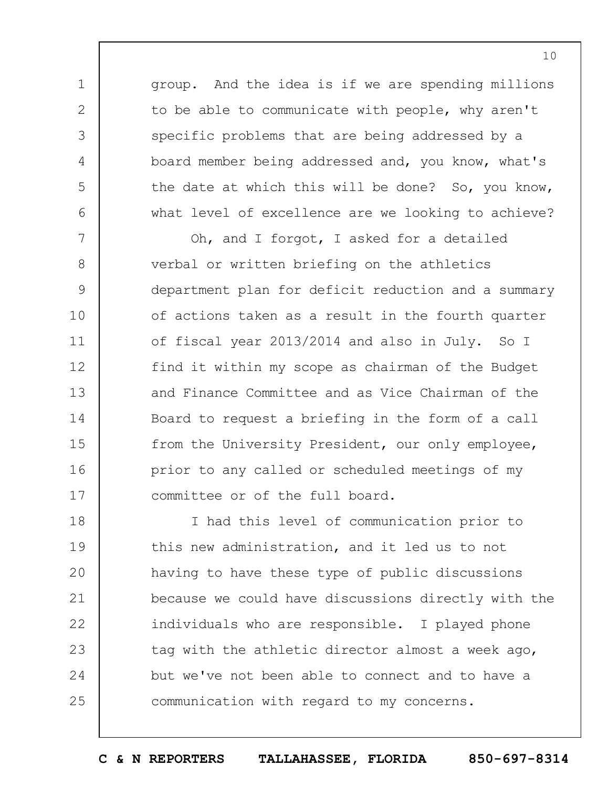group. And the idea is if we are spending millions to be able to communicate with people, why aren't specific problems that are being addressed by a board member being addressed and, you know, what's the date at which this will be done? So, you know, what level of excellence are we looking to achieve?

1

2

3

4

5

6

7 8 9 10 11 12 13 14 15 16 17 Oh, and I forgot, I asked for a detailed verbal or written briefing on the athletics department plan for deficit reduction and a summary of actions taken as a result in the fourth quarter of fiscal year 2013/2014 and also in July. So I find it within my scope as chairman of the Budget and Finance Committee and as Vice Chairman of the Board to request a briefing in the form of a call from the University President, our only employee, prior to any called or scheduled meetings of my committee or of the full board.

18 19  $20$ 21 22 23 24 25 I had this level of communication prior to this new administration, and it led us to not having to have these type of public discussions because we could have discussions directly with the individuals who are responsible. I played phone tag with the athletic director almost a week ago, but we've not been able to connect and to have a communication with regard to my concerns.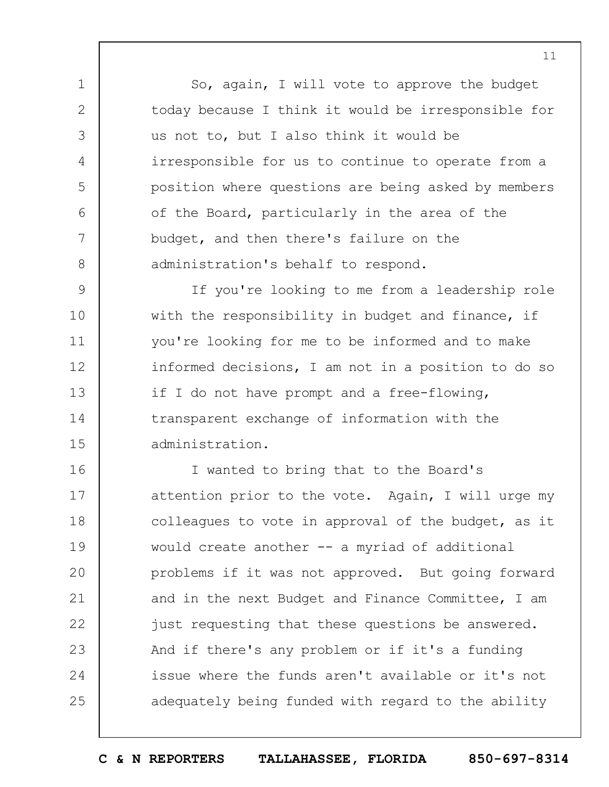So, again, I will vote to approve the budget today because I think it would be irresponsible for us not to, but I also think it would be irresponsible for us to continue to operate from a position where questions are being asked by members of the Board, particularly in the area of the budget, and then there's failure on the administration's behalf to respond.

1

2

3

4

5

6

7

8

9 10 11 12 13 14 15 If you're looking to me from a leadership role with the responsibility in budget and finance, if you're looking for me to be informed and to make informed decisions, I am not in a position to do so if I do not have prompt and a free-flowing, transparent exchange of information with the administration.

16 17 18 19  $20$ 21 22 23 24 25 I wanted to bring that to the Board's attention prior to the vote. Again, I will urge my colleagues to vote in approval of the budget, as it would create another -- a myriad of additional problems if it was not approved. But going forward and in the next Budget and Finance Committee, I am just requesting that these questions be answered. And if there's any problem or if it's a funding issue where the funds aren't available or it's not adequately being funded with regard to the ability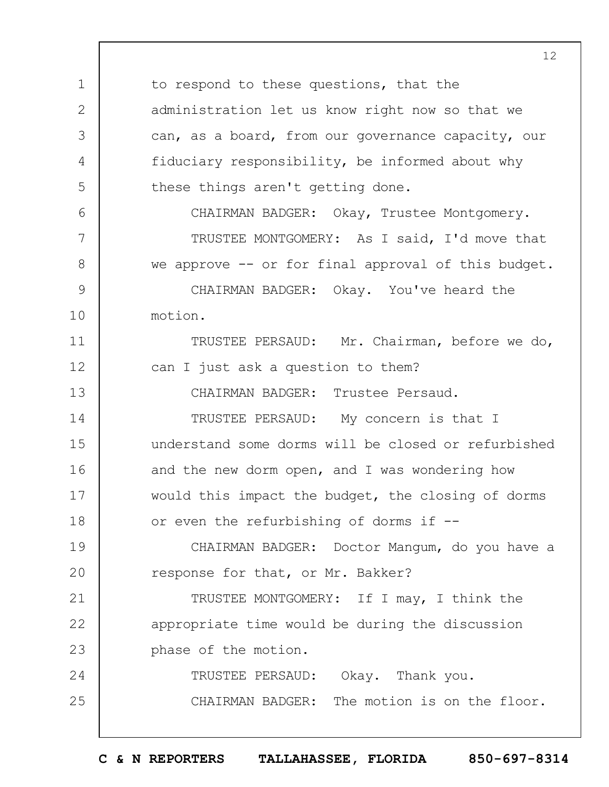1 2 3 4 5 6 7 8 9 10 11 12 13 14 15 16 17 18 19  $20$ 21 22 23 24 25 to respond to these questions, that the administration let us know right now so that we can, as a board, from our governance capacity, our fiduciary responsibility, be informed about why these things aren't getting done. CHAIRMAN BADGER: Okay, Trustee Montgomery. TRUSTEE MONTGOMERY: As I said, I'd move that we approve -- or for final approval of this budget. CHAIRMAN BADGER: Okay. You've heard the motion. TRUSTEE PERSAUD: Mr. Chairman, before we do, can I just ask a question to them? CHAIRMAN BADGER: Trustee Persaud. TRUSTEE PERSAUD: My concern is that I understand some dorms will be closed or refurbished and the new dorm open, and I was wondering how would this impact the budget, the closing of dorms or even the refurbishing of dorms if -- CHAIRMAN BADGER: Doctor Mangum, do you have a response for that, or Mr. Bakker? TRUSTEE MONTGOMERY: If I may, I think the appropriate time would be during the discussion phase of the motion. TRUSTEE PERSAUD: Okay. Thank you. CHAIRMAN BADGER: The motion is on the floor.

12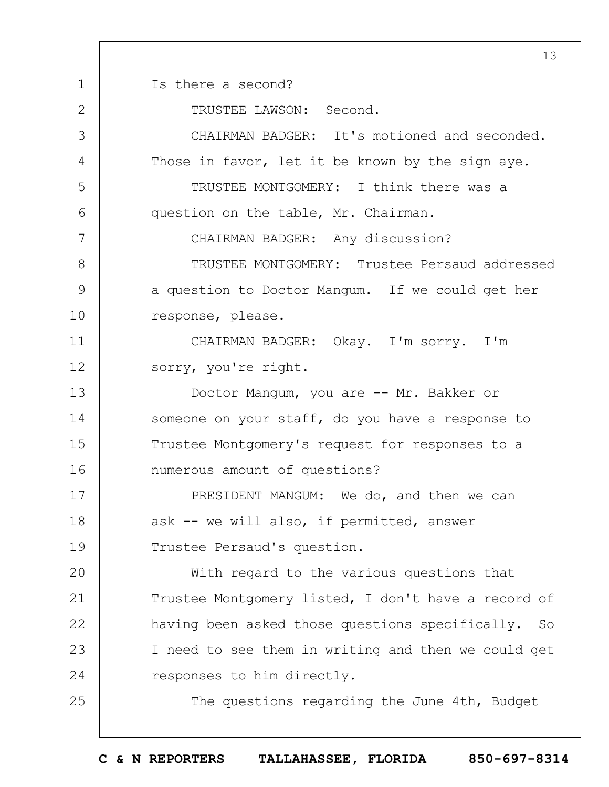1 2 3 4 5 6 7 8 9 10 11 12 13 14 15 16 17 18 19  $20$ 21 22 23 24 25 13 Is there a second? TRUSTEE LAWSON: Second. CHAIRMAN BADGER: It's motioned and seconded. Those in favor, let it be known by the sign aye. TRUSTEE MONTGOMERY: I think there was a question on the table, Mr. Chairman. CHAIRMAN BADGER: Any discussion? TRUSTEE MONTGOMERY: Trustee Persaud addressed a question to Doctor Mangum. If we could get her response, please. CHAIRMAN BADGER: Okay. I'm sorry. I'm sorry, you're right. Doctor Mangum, you are -- Mr. Bakker or someone on your staff, do you have a response to Trustee Montgomery's request for responses to a numerous amount of questions? PRESIDENT MANGUM: We do, and then we can ask -- we will also, if permitted, answer Trustee Persaud's question. With regard to the various questions that Trustee Montgomery listed, I don't have a record of having been asked those questions specifically. So I need to see them in writing and then we could get responses to him directly. The questions regarding the June 4th, Budget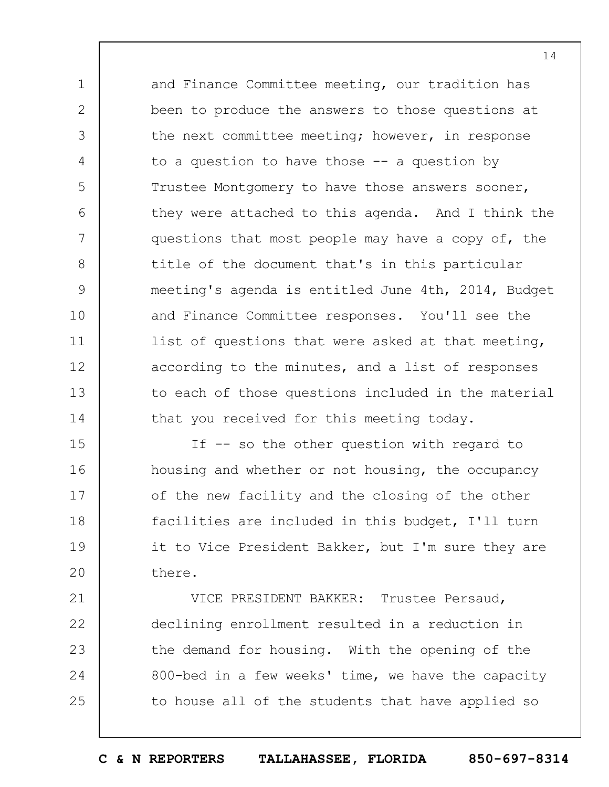and Finance Committee meeting, our tradition has been to produce the answers to those questions at the next committee meeting; however, in response to a question to have those  $-$  a question by Trustee Montgomery to have those answers sooner, they were attached to this agenda. And I think the questions that most people may have a copy of, the title of the document that's in this particular meeting's agenda is entitled June 4th, 2014, Budget and Finance Committee responses. You'll see the list of questions that were asked at that meeting, according to the minutes, and a list of responses to each of those questions included in the material that you received for this meeting today.

1

2

3

4

5

6

7

8

9

10

11

12

13

14

15 16 17 18 19  $20$ If -- so the other question with regard to housing and whether or not housing, the occupancy of the new facility and the closing of the other facilities are included in this budget, I'll turn it to Vice President Bakker, but I'm sure they are there.

21 22 23 24 25 VICE PRESIDENT BAKKER: Trustee Persaud, declining enrollment resulted in a reduction in the demand for housing. With the opening of the 800-bed in a few weeks' time, we have the capacity to house all of the students that have applied so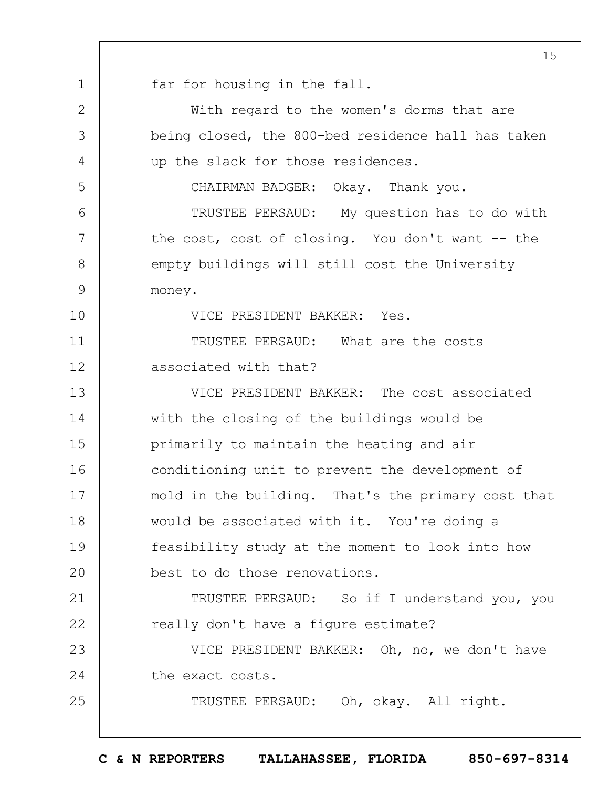1 2 3 4 5 6 7 8 9 10 11 12 13 14 15 16 17 18 19  $20$ 21 22 23 24 25 15 far for housing in the fall. With regard to the women's dorms that are being closed, the 800-bed residence hall has taken up the slack for those residences. CHAIRMAN BADGER: Okay. Thank you. TRUSTEE PERSAUD: My question has to do with the cost, cost of closing. You don't want -- the empty buildings will still cost the University money. VICE PRESIDENT BAKKER: Yes. TRUSTEE PERSAUD: What are the costs associated with that? VICE PRESIDENT BAKKER: The cost associated with the closing of the buildings would be primarily to maintain the heating and air conditioning unit to prevent the development of mold in the building. That's the primary cost that would be associated with it. You're doing a feasibility study at the moment to look into how best to do those renovations. TRUSTEE PERSAUD: So if I understand you, you really don't have a figure estimate? VICE PRESIDENT BAKKER: Oh, no, we don't have the exact costs. TRUSTEE PERSAUD: Oh, okay. All right.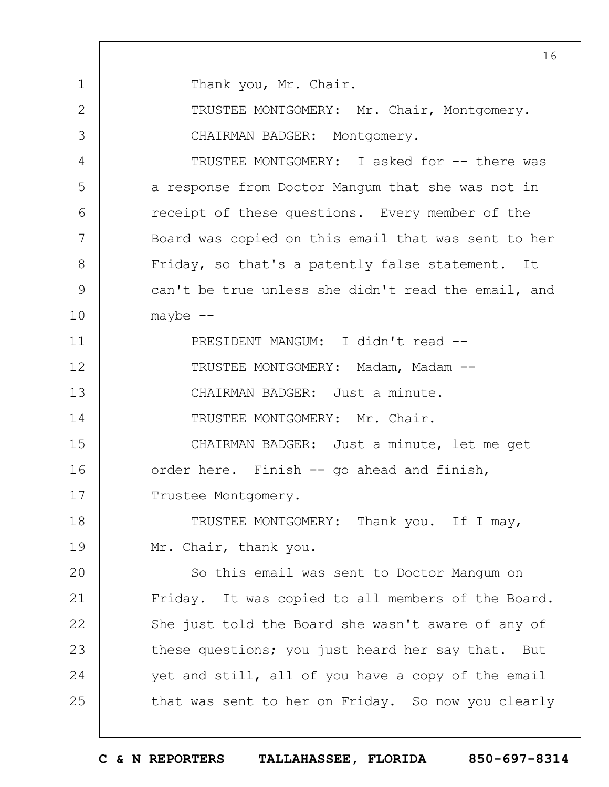1 2 3 4 5 6 7 8 9 10 11 12 13 14 15 16 17 18 19  $20$ 21 22 23 24 25 16 Thank you, Mr. Chair. TRUSTEE MONTGOMERY: Mr. Chair, Montgomery. CHAIRMAN BADGER: Montgomery. TRUSTEE MONTGOMERY: I asked for -- there was a response from Doctor Mangum that she was not in receipt of these questions. Every member of the Board was copied on this email that was sent to her Friday, so that's a patently false statement. It can't be true unless she didn't read the email, and maybe  $--$ PRESIDENT MANGUM: I didn't read -- TRUSTEE MONTGOMERY: Madam, Madam --CHAIRMAN BADGER: Just a minute. TRUSTEE MONTGOMERY: Mr. Chair. CHAIRMAN BADGER: Just a minute, let me get order here. Finish -- go ahead and finish, Trustee Montgomery. TRUSTEE MONTGOMERY: Thank you. If I may, Mr. Chair, thank you. So this email was sent to Doctor Mangum on Friday. It was copied to all members of the Board. She just told the Board she wasn't aware of any of these questions; you just heard her say that. But yet and still, all of you have a copy of the email that was sent to her on Friday. So now you clearly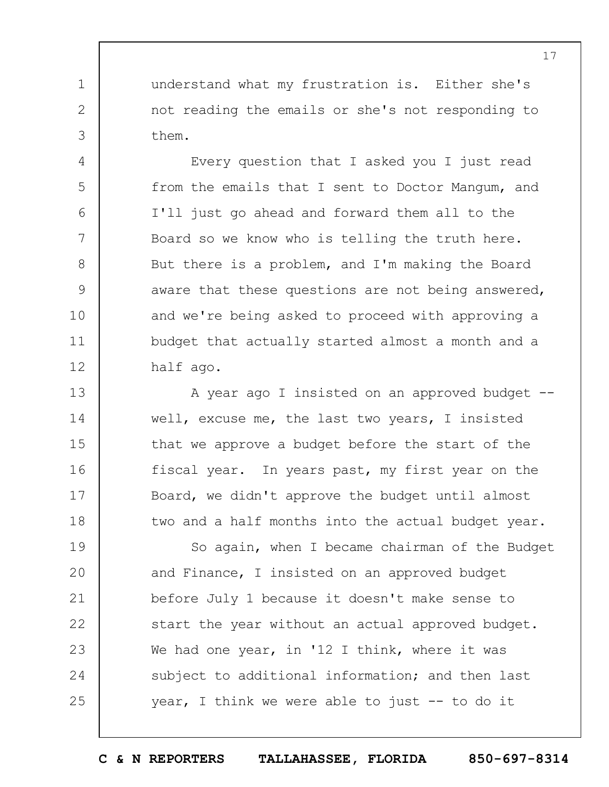understand what my frustration is. Either she's not reading the emails or she's not responding to them.

1

2

3

4

5

6

7

8

9

10

11

12

Every question that I asked you I just read from the emails that I sent to Doctor Mangum, and I'll just go ahead and forward them all to the Board so we know who is telling the truth here. But there is a problem, and I'm making the Board aware that these questions are not being answered, and we're being asked to proceed with approving a budget that actually started almost a month and a half ago.

13 14 15 16 17 18 A year ago I insisted on an approved budget - well, excuse me, the last two years, I insisted that we approve a budget before the start of the fiscal year. In years past, my first year on the Board, we didn't approve the budget until almost two and a half months into the actual budget year.

19  $20$ 21 22 23 24 25 So again, when I became chairman of the Budget and Finance, I insisted on an approved budget before July 1 because it doesn't make sense to start the year without an actual approved budget. We had one year, in '12 I think, where it was subject to additional information; and then last year, I think we were able to just -- to do it

**C & N REPORTERS TALLAHASSEE, FLORIDA 850-697-8314**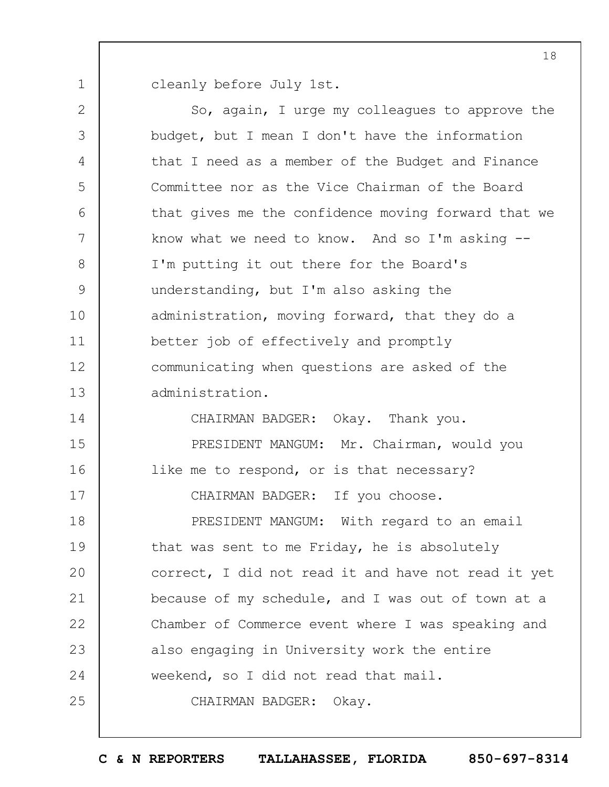1 cleanly before July 1st.

2 3 4 5 6 7 8 9 10 11 12 13 14 15 16 17 18 19  $20$ 21 22 23 24 25 So, again, I urge my colleagues to approve the budget, but I mean I don't have the information that I need as a member of the Budget and Finance Committee nor as the Vice Chairman of the Board that gives me the confidence moving forward that we know what we need to know. And so I'm asking  $-$ -I'm putting it out there for the Board's understanding, but I'm also asking the administration, moving forward, that they do a better job of effectively and promptly communicating when questions are asked of the administration. CHAIRMAN BADGER: Okay. Thank you. PRESIDENT MANGUM: Mr. Chairman, would you like me to respond, or is that necessary? CHAIRMAN BADGER: If you choose. PRESIDENT MANGUM: With regard to an email that was sent to me Friday, he is absolutely correct, I did not read it and have not read it yet because of my schedule, and I was out of town at a Chamber of Commerce event where I was speaking and also engaging in University work the entire weekend, so I did not read that mail. CHAIRMAN BADGER: Okay.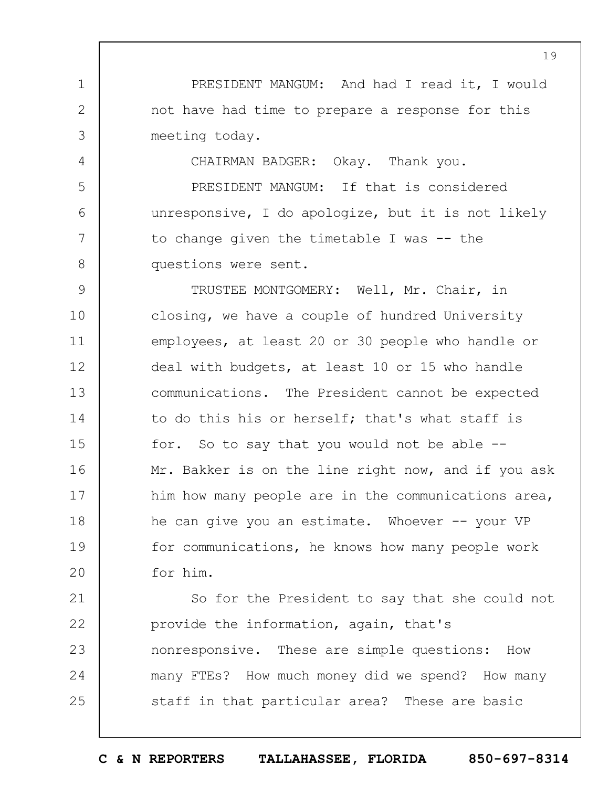PRESIDENT MANGUM: And had I read it, I would not have had time to prepare a response for this meeting today.

1

2

3

4

5

6

7

8

CHAIRMAN BADGER: Okay. Thank you.

PRESIDENT MANGUM: If that is considered unresponsive, I do apologize, but it is not likely to change given the timetable I was -- the questions were sent.

9 10 11 12 13 14 15 16 17 18 19  $20$ TRUSTEE MONTGOMERY: Well, Mr. Chair, in closing, we have a couple of hundred University employees, at least 20 or 30 people who handle or deal with budgets, at least 10 or 15 who handle communications. The President cannot be expected to do this his or herself; that's what staff is for. So to say that you would not be able -- Mr. Bakker is on the line right now, and if you ask him how many people are in the communications area, he can give you an estimate. Whoever -- your VP for communications, he knows how many people work for him.

21 22 23 24 25 So for the President to say that she could not provide the information, again, that's nonresponsive. These are simple questions: How many FTEs? How much money did we spend? How many staff in that particular area? These are basic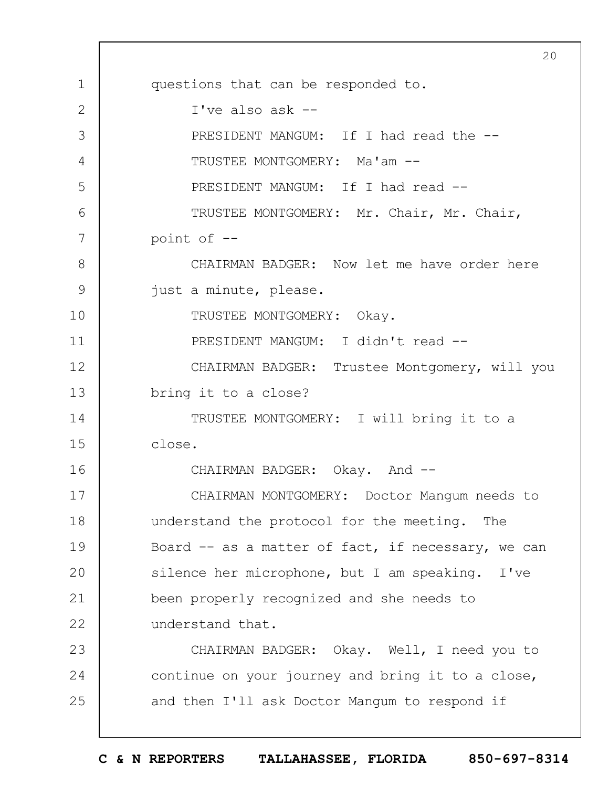1 2 3 4 5 6 7 8 9 10 11 12 13 14 15 16 17 18 19  $20$ 21 22 23 24 25  $20$ questions that can be responded to. I've also ask -- PRESIDENT MANGUM: If I had read the --TRUSTEE MONTGOMERY: Ma'am -- PRESIDENT MANGUM: If I had read --TRUSTEE MONTGOMERY: Mr. Chair, Mr. Chair, point of -- CHAIRMAN BADGER: Now let me have order here just a minute, please. TRUSTEE MONTGOMERY: Okay. PRESIDENT MANGUM: I didn't read -- CHAIRMAN BADGER: Trustee Montgomery, will you bring it to a close? TRUSTEE MONTGOMERY: I will bring it to a close. CHAIRMAN BADGER: Okay. And --CHAIRMAN MONTGOMERY: Doctor Mangum needs to understand the protocol for the meeting. The Board  $-$  as a matter of fact, if necessary, we can silence her microphone, but I am speaking. I've been properly recognized and she needs to understand that. CHAIRMAN BADGER: Okay. Well, I need you to continue on your journey and bring it to a close, and then I'll ask Doctor Mangum to respond if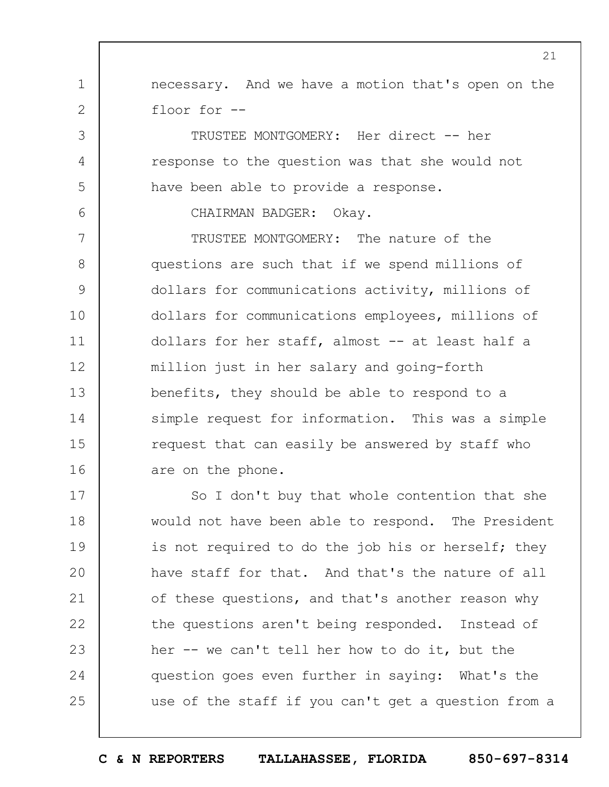necessary. And we have a motion that's open on the floor for --

TRUSTEE MONTGOMERY: Her direct -- her response to the question was that she would not have been able to provide a response.

CHAIRMAN BADGER: Okay.

1

2

3

4

5

6

7 8 9 10 11 12 13 14 15 16 TRUSTEE MONTGOMERY: The nature of the questions are such that if we spend millions of dollars for communications activity, millions of dollars for communications employees, millions of dollars for her staff, almost -- at least half a million just in her salary and going-forth benefits, they should be able to respond to a simple request for information. This was a simple request that can easily be answered by staff who are on the phone.

17 18 19  $20$ 21 22 23 24 25 So I don't buy that whole contention that she would not have been able to respond. The President is not required to do the job his or herself; they have staff for that. And that's the nature of all of these questions, and that's another reason why the questions aren't being responded. Instead of her -- we can't tell her how to do it, but the question goes even further in saying: What's the use of the staff if you can't get a question from a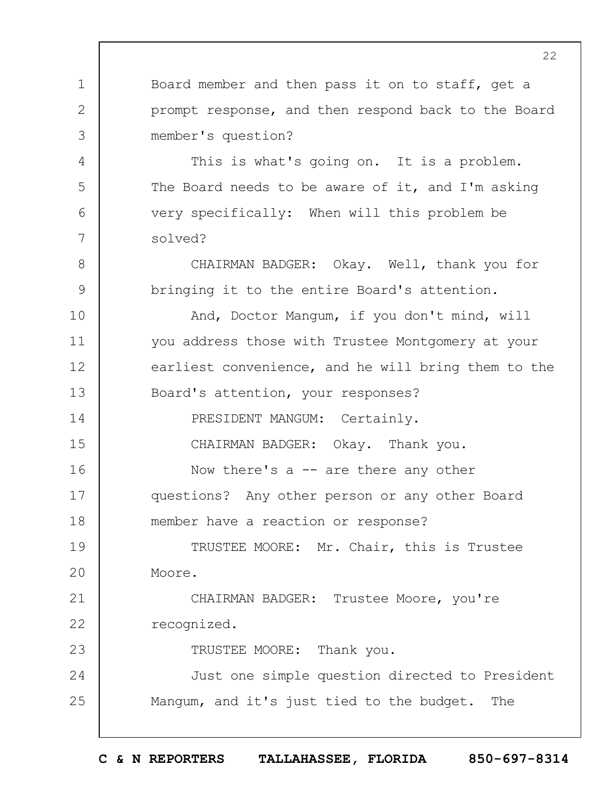Board member and then pass it on to staff, get a prompt response, and then respond back to the Board member's question?

1

2

3

4

5

6

7

8

9

15

23

This is what's going on. It is a problem. The Board needs to be aware of it, and I'm asking very specifically: When will this problem be solved?

CHAIRMAN BADGER: Okay. Well, thank you for bringing it to the entire Board's attention.

10 11 12 13 14 And, Doctor Mangum, if you don't mind, will you address those with Trustee Montgomery at your earliest convenience, and he will bring them to the Board's attention, your responses? PRESIDENT MANGUM: Certainly.

CHAIRMAN BADGER: Okay. Thank you.

16 17 18 Now there's  $a$  -- are there any other questions? Any other person or any other Board member have a reaction or response?

19  $20$ TRUSTEE MOORE: Mr. Chair, this is Trustee Moore.

21 22 CHAIRMAN BADGER: Trustee Moore, you're recognized.

TRUSTEE MOORE: Thank you.

24 25 Just one simple question directed to President Mangum, and it's just tied to the budget. The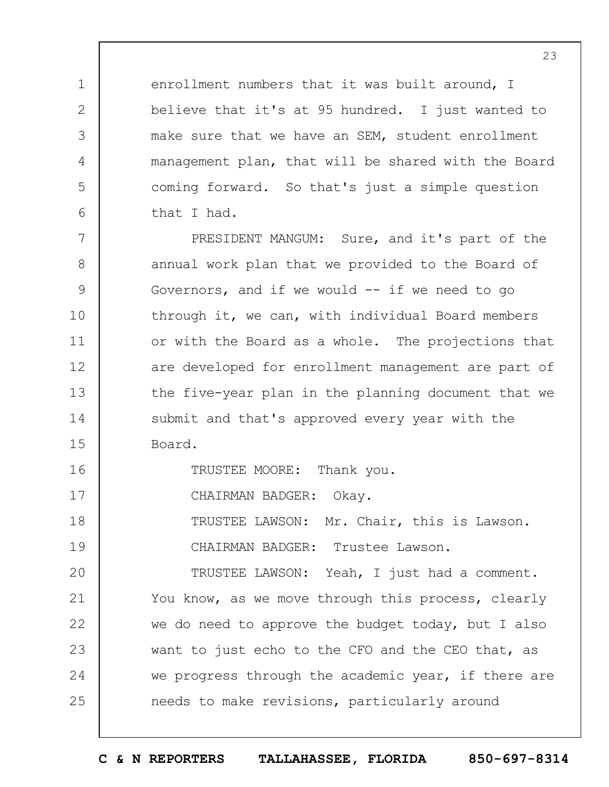enrollment numbers that it was built around, I believe that it's at 95 hundred. I just wanted to make sure that we have an SEM, student enrollment management plan, that will be shared with the Board coming forward. So that's just a simple question that I had.

7 8 9 10 11 12 13 14 15 PRESIDENT MANGUM: Sure, and it's part of the annual work plan that we provided to the Board of Governors, and if we would  $--$  if we need to go through it, we can, with individual Board members or with the Board as a whole. The projections that are developed for enrollment management are part of the five-year plan in the planning document that we submit and that's approved every year with the Board.

TRUSTEE MOORE: Thank you.

17 CHAIRMAN BADGER: Okay.

1

2

3

4

5

6

16

18 19 TRUSTEE LAWSON: Mr. Chair, this is Lawson. CHAIRMAN BADGER: Trustee Lawson.

 $20$ 21 22 23 24 25 TRUSTEE LAWSON: Yeah, I just had a comment. You know, as we move through this process, clearly we do need to approve the budget today, but I also want to just echo to the CFO and the CEO that, as we progress through the academic year, if there are needs to make revisions, particularly around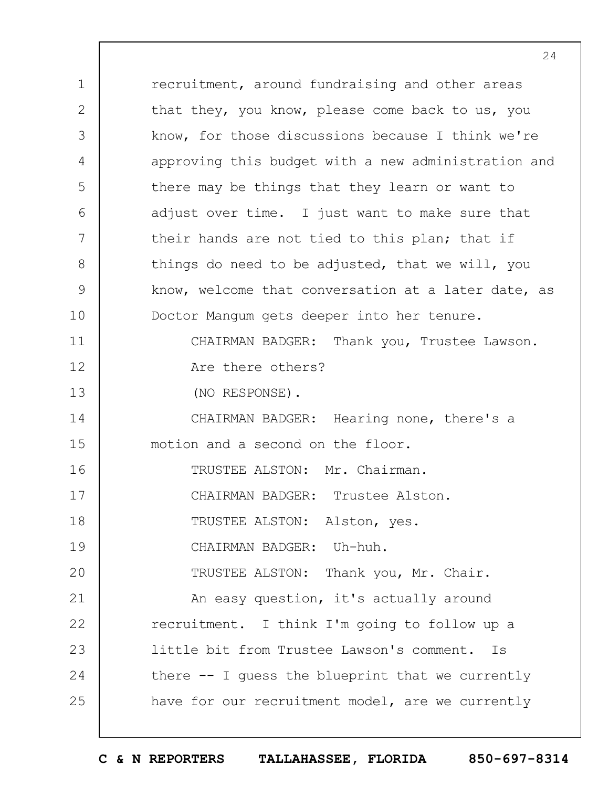1 2 3 4 5 6 7 8 9 10 11 12 13 14 15 16 17 18 19  $20$ 21 22 23 24 25 recruitment, around fundraising and other areas that they, you know, please come back to us, you know, for those discussions because I think we're approving this budget with a new administration and there may be things that they learn or want to adjust over time. I just want to make sure that their hands are not tied to this plan; that if things do need to be adjusted, that we will, you know, welcome that conversation at a later date, as Doctor Mangum gets deeper into her tenure. CHAIRMAN BADGER: Thank you, Trustee Lawson. Are there others? (NO RESPONSE). CHAIRMAN BADGER: Hearing none, there's a motion and a second on the floor. TRUSTEE ALSTON: Mr. Chairman. CHAIRMAN BADGER: Trustee Alston. TRUSTEE ALSTON: Alston, yes. CHAIRMAN BADGER: Uh-huh. TRUSTEE ALSTON: Thank you, Mr. Chair. An easy question, it's actually around recruitment. I think I'm going to follow up a little bit from Trustee Lawson's comment. Is there -- I guess the blueprint that we currently have for our recruitment model, are we currently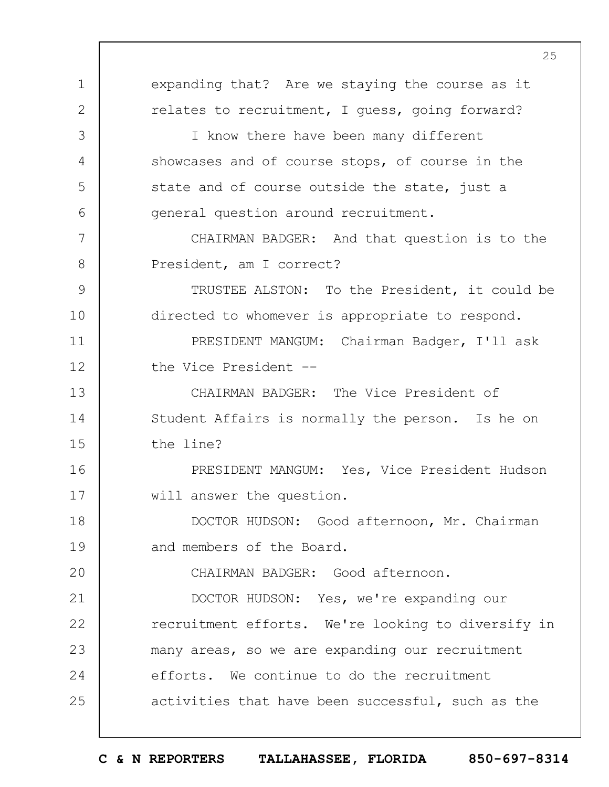1 2 3 4 5 6 7 8 9 10 11 12 13 14 15 16 17 18 19  $20$ 21 22 23 24 25 expanding that? Are we staying the course as it relates to recruitment, I guess, going forward? I know there have been many different showcases and of course stops, of course in the state and of course outside the state, just a general question around recruitment. CHAIRMAN BADGER: And that question is to the President, am I correct? TRUSTEE ALSTON: To the President, it could be directed to whomever is appropriate to respond. PRESIDENT MANGUM: Chairman Badger, I'll ask the Vice President -- CHAIRMAN BADGER: The Vice President of Student Affairs is normally the person. Is he on the line? PRESIDENT MANGUM: Yes, Vice President Hudson will answer the question. DOCTOR HUDSON: Good afternoon, Mr. Chairman and members of the Board. CHAIRMAN BADGER: Good afternoon. DOCTOR HUDSON: Yes, we're expanding our recruitment efforts. We're looking to diversify in many areas, so we are expanding our recruitment efforts. We continue to do the recruitment activities that have been successful, such as the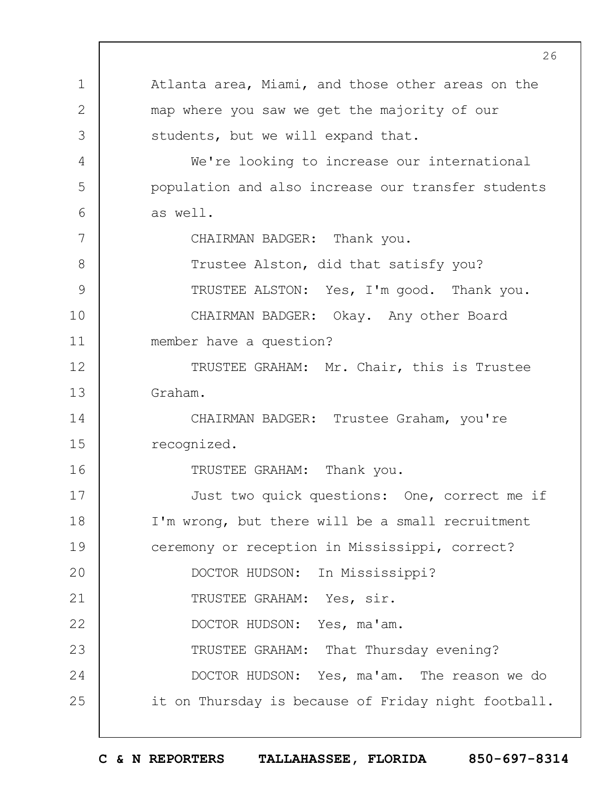1 2 3 4 5 6 7 8 9 10 11 12 13 14 15 16 17 18 19  $20$ 21 22 23 24 25 Atlanta area, Miami, and those other areas on the map where you saw we get the majority of our students, but we will expand that. We're looking to increase our international population and also increase our transfer students as well. CHAIRMAN BADGER: Thank you. Trustee Alston, did that satisfy you? TRUSTEE ALSTON: Yes, I'm good. Thank you. CHAIRMAN BADGER: Okay. Any other Board member have a question? TRUSTEE GRAHAM: Mr. Chair, this is Trustee Graham. CHAIRMAN BADGER: Trustee Graham, you're recognized. TRUSTEE GRAHAM: Thank you. Just two quick questions: One, correct me if I'm wrong, but there will be a small recruitment ceremony or reception in Mississippi, correct? DOCTOR HUDSON: In Mississippi? TRUSTEE GRAHAM: Yes, sir. DOCTOR HUDSON: Yes, ma'am. TRUSTEE GRAHAM: That Thursday evening? DOCTOR HUDSON: Yes, ma'am. The reason we do it on Thursday is because of Friday night football.

**C & N REPORTERS TALLAHASSEE, FLORIDA 850-697-8314**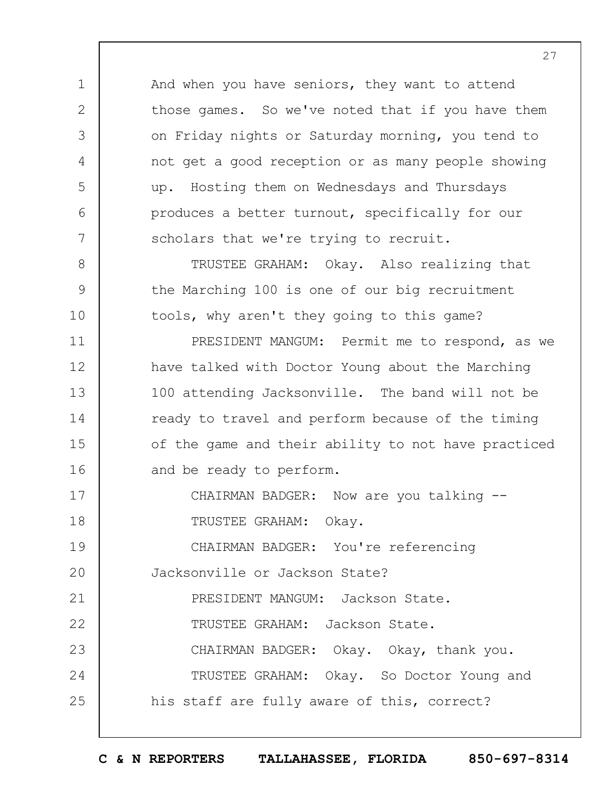And when you have seniors, they want to attend those games. So we've noted that if you have them on Friday nights or Saturday morning, you tend to not get a good reception or as many people showing up. Hosting them on Wednesdays and Thursdays produces a better turnout, specifically for our scholars that we're trying to recruit.

1

2

3

4

5

6

7

8

9

10

11

12

13

14

15

16

TRUSTEE GRAHAM: Okay. Also realizing that the Marching 100 is one of our big recruitment tools, why aren't they going to this game?

PRESIDENT MANGUM: Permit me to respond, as we have talked with Doctor Young about the Marching 100 attending Jacksonville. The band will not be ready to travel and perform because of the timing of the game and their ability to not have practiced and be ready to perform.

17 18 CHAIRMAN BADGER: Now are you talking --TRUSTEE GRAHAM: Okay.

19  $20$ 21 CHAIRMAN BADGER: You're referencing Jacksonville or Jackson State? PRESIDENT MANGUM: Jackson State.

22 23 24 25 TRUSTEE GRAHAM: Jackson State. CHAIRMAN BADGER: Okay. Okay, thank you. TRUSTEE GRAHAM: Okay. So Doctor Young and his staff are fully aware of this, correct?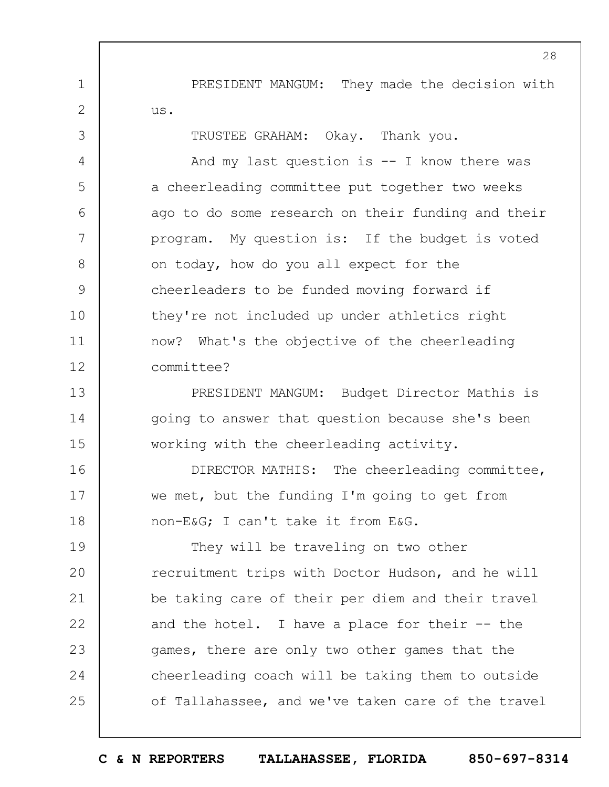PRESIDENT MANGUM: They made the decision with us.

TRUSTEE GRAHAM: Okay. Thank you.

1

2

3

4

5

6

7

8

9

10

11

12

And my last question is  $-$ - I know there was a cheerleading committee put together two weeks ago to do some research on their funding and their program. My question is: If the budget is voted on today, how do you all expect for the cheerleaders to be funded moving forward if they're not included up under athletics right now? What's the objective of the cheerleading committee?

13 14 15 PRESIDENT MANGUM: Budget Director Mathis is going to answer that question because she's been working with the cheerleading activity.

16 17 18 DIRECTOR MATHIS: The cheerleading committee, we met, but the funding I'm going to get from non-E&G; I can't take it from E&G.

19  $20$ 21 22 23 24 25 They will be traveling on two other recruitment trips with Doctor Hudson, and he will be taking care of their per diem and their travel and the hotel. I have a place for their  $-$ - the games, there are only two other games that the cheerleading coach will be taking them to outside of Tallahassee, and we've taken care of the travel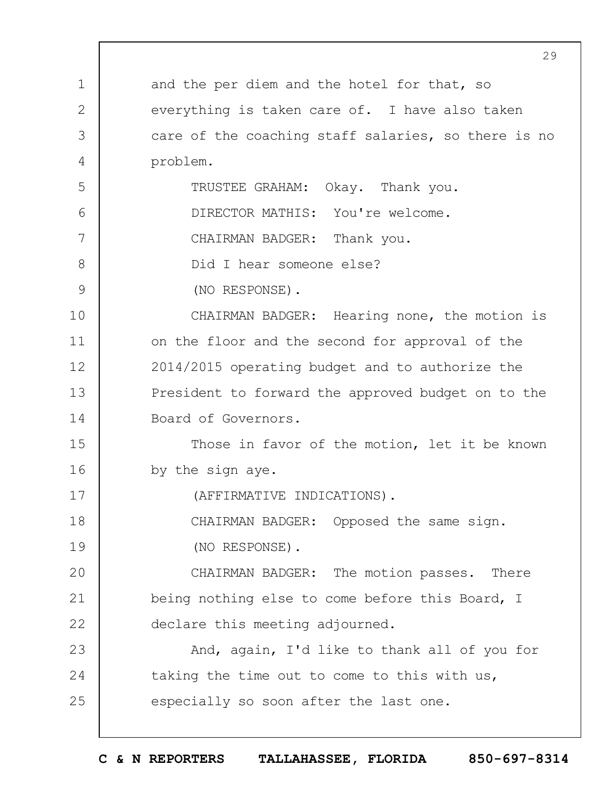|              | 29                                                  |
|--------------|-----------------------------------------------------|
| $\mathbf 1$  | and the per diem and the hotel for that, so         |
| $\mathbf{2}$ | everything is taken care of. I have also taken      |
| 3            | care of the coaching staff salaries, so there is no |
| 4            | problem.                                            |
| 5            | TRUSTEE GRAHAM: Okay. Thank you.                    |
| 6            | DIRECTOR MATHIS: You're welcome.                    |
| 7            | CHAIRMAN BADGER: Thank you.                         |
| 8            | Did I hear someone else?                            |
| 9            | (NO RESPONSE).                                      |
| 10           | CHAIRMAN BADGER: Hearing none, the motion is        |
| 11           | on the floor and the second for approval of the     |
| 12           | 2014/2015 operating budget and to authorize the     |
| 13           | President to forward the approved budget on to the  |
| 14           | Board of Governors.                                 |
| 15           | Those in favor of the motion, let it be known       |
| 16           | by the sign aye.                                    |
| 17           | (AFFIRMATIVE INDICATIONS).                          |
| 18           | CHAIRMAN BADGER: Opposed the same sign.             |
| 19           | (NO RESPONSE).                                      |
| 20           | CHAIRMAN BADGER: The motion passes. There           |
| 21           | being nothing else to come before this Board, I     |
| 22           | declare this meeting adjourned.                     |
| 23           | And, again, I'd like to thank all of you for        |
| 24           | taking the time out to come to this with us,        |
| 25           | especially so soon after the last one.              |
|              |                                                     |

 $\Gamma$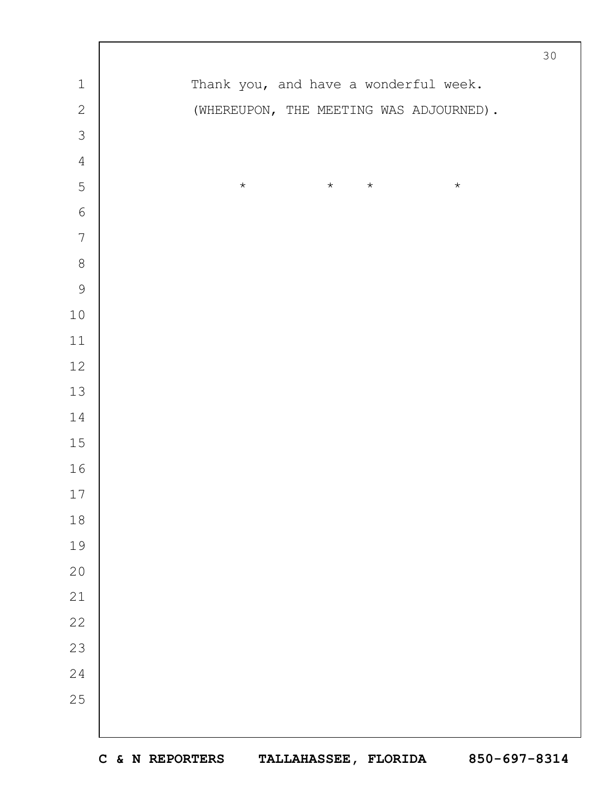|                  |                                          | $30$ |
|------------------|------------------------------------------|------|
| $\mathbf 1$      | Thank you, and have a wonderful week.    |      |
| $\overline{c}$   | (WHEREUPON, THE MEETING WAS ADJOURNED).  |      |
| $\mathfrak{Z}$   |                                          |      |
| $\overline{4}$   |                                          |      |
| 5                | $\star$<br>$\star$<br>$\star$<br>$\star$ |      |
| $\sqrt{6}$       |                                          |      |
| $\boldsymbol{7}$ |                                          |      |
| $\,8\,$          |                                          |      |
| $\mathcal{G}$    |                                          |      |
| $10$             |                                          |      |
| $11$             |                                          |      |
| $12$             |                                          |      |
| 13               |                                          |      |
| 14               |                                          |      |
| $15$             |                                          |      |
| 16               |                                          |      |
| $17$             |                                          |      |
| $1\,8$           |                                          |      |
| 19               |                                          |      |
| $20$             |                                          |      |
| $21\,$           |                                          |      |
| 22               |                                          |      |
| 23               |                                          |      |
| 24               |                                          |      |
| 25               |                                          |      |
|                  |                                          |      |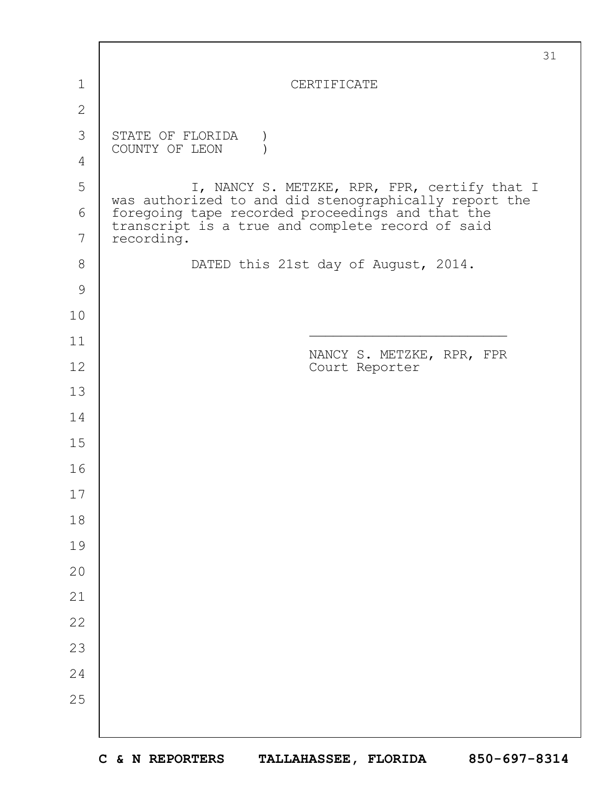|                | 31                                                                                                        |
|----------------|-----------------------------------------------------------------------------------------------------------|
| $\mathbf 1$    | CERTIFICATE                                                                                               |
| $\overline{2}$ |                                                                                                           |
| 3              | STATE OF FLORIDA                                                                                          |
| 4              | COUNTY OF LEON                                                                                            |
| 5              | I, NANCY S. METZKE, RPR, FPR, certify that I                                                              |
| 6              | was authorized to and did stenographically report the<br>foregoing tape recorded proceedings and that the |
| 7              | transcript is a true and complete record of said<br>recording.                                            |
| 8              | DATED this 21st day of August, 2014.                                                                      |
| $\mathcal{G}$  |                                                                                                           |
| 10             |                                                                                                           |
| 11             | NANCY S. METZKE, RPR, FPR                                                                                 |
| 12             | Court Reporter                                                                                            |
| 13             |                                                                                                           |
| 14             |                                                                                                           |
| 15             |                                                                                                           |
| 16             |                                                                                                           |
| 17             |                                                                                                           |
| 18             |                                                                                                           |
| 19             |                                                                                                           |
| 20             |                                                                                                           |
| 21             |                                                                                                           |
| 22             |                                                                                                           |
| 23             |                                                                                                           |
| 24             |                                                                                                           |
| 25             |                                                                                                           |
|                |                                                                                                           |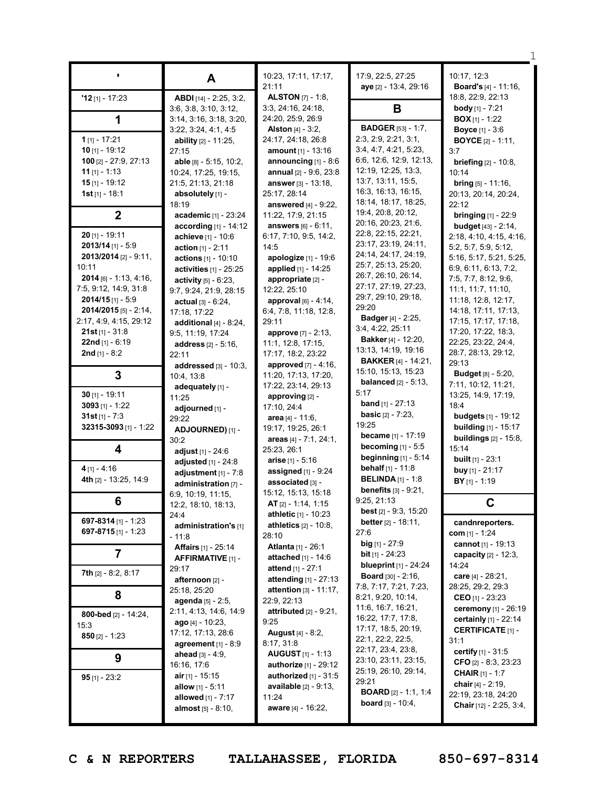|                                               |                                                   | 10:23, 17:11, 17:17,                                 | 17:9, 22:5, 27:25                                      | 10:17, 12:3                                                 |
|-----------------------------------------------|---------------------------------------------------|------------------------------------------------------|--------------------------------------------------------|-------------------------------------------------------------|
|                                               | A                                                 | 21:11                                                | aye [2] - 13:4, 29:16                                  | <b>Board's</b> [4] - 11:16,                                 |
| $'12$ [1] - 17:23                             | ABDI [14] - 2:25, 3:2,                            | <b>ALSTON</b> [7] - 1:8,                             |                                                        | 18:8, 22:9, 22:13                                           |
|                                               | 3:6, 3:8, 3:10, 3:12,                             | 3:3, 24:16, 24:18,                                   | В                                                      | <b>body</b> [1] - $7:21$                                    |
| 1                                             | 3:14, 3:16, 3:18, 3:20,                           | 24:20, 25:9, 26:9                                    |                                                        | <b>BOX</b> $[1]$ - 1:22                                     |
|                                               | 3:22, 3:24, 4:1, 4:5                              | <b>Alston</b> $[4]$ - $3:2$ ,                        | <b>BADGER</b> [53] - 1:7,                              | <b>Boyce</b> [1] - 3:6                                      |
| $1$ [1] - 17:21                               | ability [2] - 11:25,                              | 24:17, 24:18, 26:8                                   | 2:3, 2:9, 2:21, 3:1,                                   | <b>BOYCE</b> $[2] - 1:11$ ,                                 |
| 10 $[1] - 19:12$                              | 27:15                                             | amount [1] - 13:16                                   | 3:4, 4:7, 4:21, 5:23,<br>6:6, 12:6, 12:9, 12:13,       | 3:7                                                         |
| 100 [2] - 27:9, 27:13<br>$11$ [1] - 1:13      | able [8] - 5:15, 10:2,<br>10:24, 17:25, 19:15,    | announcing $[1] - 8:6$<br>annual [2] - 9:6, 23:8     | 12:19, 12:25, 13:3,                                    | <b>briefing</b> $[2] - 10:8$ ,<br>10:14                     |
| $15$ [1] - 19:12                              | 21:5, 21:13, 21:18                                | <b>answer</b> [3] - 13:18,                           | 13:7, 13:11, 15:5,                                     | <b>bring</b> $[5] - 11:16$ ,                                |
| 1st $[1] - 18:1$                              | absolutely [1] -                                  | 25:17, 28:14                                         | 16:3, 16:13, 16:15,                                    | 20:13, 20:14, 20:24,                                        |
|                                               | 18:19                                             | answered [4] - 9:22,                                 | 18:14, 18:17, 18:25,                                   | 22:12                                                       |
| $\boldsymbol{2}$                              | academic [1] - 23:24                              | 11:22, 17:9, 21:15                                   | 19:4, 20:8, 20:12,                                     | <b>bringing</b> $[1] - 22:9$                                |
|                                               | according $[1]$ - 14:12                           | answers [6] - 6:11,                                  | 20:16, 20:23, 21:6,<br>22:8, 22:15, 22:21,             | <b>budget</b> $[43] - 2:14$ ,                               |
| $20$ [1] - 19:11<br>$2013/14$ [1] - 5:9       | achieve [1] - 10:6                                | 6:17, 7:10, 9:5, 14:2,                               | 23:17, 23:19, 24:11,                                   | 2:18, 4:10, 4:15, 4:16,                                     |
| 2013/2014 [2] - 9:11,                         | action $[1] - 2:11$                               | 14:5<br>apologize [1] - 19:6                         | 24:14, 24:17, 24:19,                                   | 5:2, 5:7, 5:9, 5:12,<br>5:16, 5:17, 5:21, 5:25,             |
| 10:11                                         | actions [1] - 10:10<br>activities [1] - 25:25     | applied [1] - 14:25                                  | 25:7, 25:13, 25:20,                                    | 6:9, 6:11, 6:13, 7:2,                                       |
| $2014$ [6] - 1:13, 4:16,                      | activity [5] - 6:23,                              | appropriate [2] -                                    | 26:7, 26:10, 26:14,                                    | 7:5, 7:7, 8:12, 9:6,                                        |
| 7:5, 9:12, 14:9, 31:8                         | 9:7, 9:24, 21:9, 28:15                            | 12:22, 25:10                                         | 27:17, 27:19, 27:23,                                   | 11:1, 11:7, 11:10,                                          |
| $2014/15$ [1] - 5:9                           | <b>actual</b> $[3] - 6:24$ ,                      | <b>approval</b> $[6] - 4:14$ ,                       | 29:7, 29:10, 29:18,                                    | 11:18, 12:8, 12:17,                                         |
| 2014/2015 [5] - 2:14,                         | 17:18, 17:22                                      | 6:4, 7:8, 11:18, 12:8,                               | 29:20<br><b>Badger</b> [4] - 2:25,                     | 14:18, 17:11, 17:13,                                        |
| 2:17, 4:9, 4:15, 29:12                        | additional $[4] - 8:24$ ,                         | 29:11                                                | 3:4, 4:22, 25:11                                       | 17:15, 17:17, 17:18,                                        |
| <b>21st</b> [1] - $31:8$<br>22nd $[1] - 6:19$ | 9:5, 11:19, 17:24                                 | approve [7] - 2:13.                                  | <b>Bakker</b> [4] - 12:20,                             | 17:20, 17:22, 18:3,<br>22:25, 23:22, 24:4,                  |
| <b>2nd</b> [1] - $8:2$                        | address [2] - 5:16,<br>22:11                      | 11:1, 12:8, 17:15,<br>17:17, 18:2, 23:22             | 13:13, 14:19, 19:16                                    | 28:7, 28:13, 29:12,                                         |
|                                               | addressed [3] - 10:3,                             | <b>approved</b> $[7] - 4:16$ ,                       | <b>BAKKER</b> [4] - 14:21,                             | 29:13                                                       |
| 3                                             | 10:4, 13:8                                        | 11:20, 17:13, 17:20,                                 | 15:10, 15:13, 15:23                                    | <b>Budget</b> [8] - 5:20,                                   |
|                                               | adequately [1] -                                  | 17:22, 23:14, 29:13                                  | <b>balanced</b> [2] - 5:13,                            | 7:11, 10:12, 11:21,                                         |
| $30$ [1] - 19:11                              | 11:25                                             | approving [2] -                                      | 5:17<br><b>band</b> $[1] - 27:13$                      | 13:25, 14:9, 17:19,                                         |
| $3093$ [1] - 1:22                             | adjourned [1] -                                   | 17:10, 24:4                                          | <b>basic</b> $[2] - 7:23$ ,                            | 18:4                                                        |
| $31st$ [1] - 7:3<br>32315-3093 [1] - 1:22     | 29:22                                             | area [4] - 11:6,<br>19:17, 19:25, 26:1               | 19:25                                                  | <b>budgets</b> $[1] - 19:12$<br><b>building</b> [1] - 15:17 |
|                                               | ADJOURNED) [1] -<br>30:2                          | areas $[4] - 7:1, 24:1,$                             | <b>became</b> $[1] - 17:19$                            | <b>buildings</b> $[2] - 15:8$ ,                             |
| 4                                             | adjust $[1] - 24:6$                               | 25:23, 26:1                                          | becoming $[1] - 5.5$                                   | 15:14                                                       |
|                                               | adjusted [1] - 24:8                               | arise $[1] - 5:16$                                   | beginning $[1]$ - 5:14                                 | <b>built</b> $[1]$ - 23:1                                   |
| $4$ [1] - 4:16                                | adjustment $[1]$ - $7:8$                          | assigned $[1]$ - $9:24$                              | <b>behalf</b> $[1] - 11:8$                             | buy $[1] - 21:17$                                           |
| 4th [2] - 13:25, 14:9                         | administration [7] -                              | associated [3] -                                     | <b>BELINDA</b> $[1] - 1:8$                             | $BY$ <sub>[1]</sub> - 1:19                                  |
|                                               | 6:9, 10:19, 11:15,                                | 15:12, 15:13, 15:18                                  | <b>benefits</b> [3] - 9:21,<br>9:25, 21:13             |                                                             |
| 6                                             | 12:2, 18:10, 18:13,                               | AT $[2] - 1:14, 1:15$                                | <b>best</b> $[2] - 9:3, 15:20$                         | C                                                           |
| 697-8314 [1] - 1:23                           | 24:4                                              | athletic [1] - 10:23<br><b>athletics</b> [2] - 10:8, | <b>better</b> $[2] - 18:11$ ,                          | candnreporters.                                             |
| 697-8715 $[1]$ - 1:23                         | administration's [1]<br>- 11:8                    | 28:10                                                | 27:6                                                   | <b>com</b> [1] - 1:24                                       |
|                                               | <b>Affairs</b> [1] - 25:14                        | <b>Atlanta</b> [1] - 26:1                            | <b>big</b> $[1]$ - 27:9                                | cannot $[1] - 19:13$                                        |
| 7                                             | AFFIRMATIVE [1] -                                 | attached [1] - 14:6                                  | <b>bit</b> $[1] - 24:23$                               | capacity $[2] - 12:3$ ,                                     |
| 7th [2] - 8:2, 8:17                           | 29:17                                             | <b>attend</b> $[1] - 27:1$                           | <b>blueprint</b> $[1] - 24:24$                         | 14:24                                                       |
|                                               | afternoon [2] -                                   | attending [1] - 27:13                                | <b>Board</b> $[30] - 2:16$ ,<br>7:8, 7:17, 7:21, 7:23, | care $[4] - 28:21$ ,<br>28:25, 29:2, 29:3                   |
| 8                                             | 25:18, 25:20                                      | <b>attention</b> $[3] - 11:17$ ,                     | 8:21, 9:20, 10:14,                                     | <b>CEO</b> [1] - 23:23                                      |
|                                               | agenda [5] - 2:5,                                 | 22:9, 22:13                                          | 11:6, 16:7, 16:21,                                     | ceremony [1] - 26:19                                        |
| 800-bed [2] - 14:24,                          | 2:11, 4:13, 14:6, 14:9<br><b>ago</b> [4] - 10:23, | attributed $[2] - 9:21$ ,<br>9:25                    | 16:22, 17:7, 17:8,                                     | certainly [1] - 22:14                                       |
| 15:3                                          | 17:12, 17:13, 28:6                                | <b>August</b> [4] - 8:2,                             | 17:17, 18:5, 20:19,                                    | <b>CERTIFICATE [1] -</b>                                    |
| $850$ [2] - 1:23                              | agreement $[1] - 8:9$                             | 8:17, 31:8                                           | 22:1, 22:2, 22:5,                                      | 31:1                                                        |
| 9                                             | <b>ahead</b> $[3] - 4:9$ ,                        | <b>AUGUST</b> [1] - 1:13                             | 22:17, 23:4, 23:8,                                     | <b>certify</b> $[1] - 31:5$                                 |
|                                               | 16:16, 17:6                                       | <b>authorize</b> [1] - 29:12                         | 23:10, 23:11, 23:15,<br>25:19, 26:10, 29:14,           | CFO $[2] - 8:3, 23:23$                                      |
| <b>95</b> [1] - 23:2                          | air $[1]$ - 15:15                                 | authorized $[1]$ - 31:5                              | 29:21                                                  | <b>CHAIR</b> $[1] - 1:7$                                    |
|                                               | allow $[1] - 5:11$                                | <b>available</b> $[2] - 9:13$ ,                      | <b>BOARD</b> $[2] - 1:1, 1:4$                          | chair $[4] - 2:19$ ,<br>22:19, 23:18, 24:20                 |
|                                               | allowed $[1] - 7:17$                              | 11:24<br>aware [4] - 16:22,                          | <b>board</b> $[3] - 10:4$ ,                            | <b>Chair</b> [12] - 2:25, 3:4,                              |
|                                               | <b>almost</b> $[5] - 8:10$ ,                      |                                                      |                                                        |                                                             |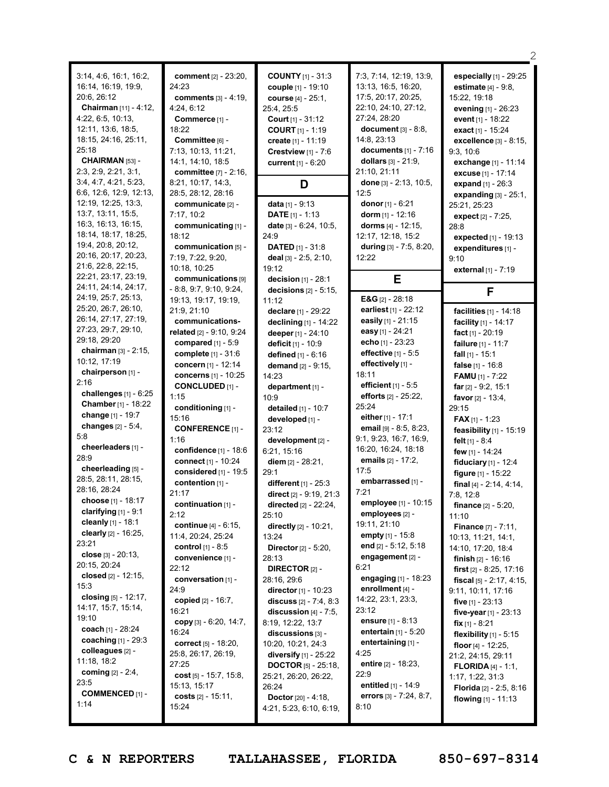|                                |                                                 |                                             |                                                             | 2                                        |
|--------------------------------|-------------------------------------------------|---------------------------------------------|-------------------------------------------------------------|------------------------------------------|
| 3:14, 4:6, 16:1, 16:2,         | comment [2] - 23:20,                            | <b>COUNTY</b> $[1] - 31:3$                  | 7:3, 7:14, 12:19, 13:9,                                     | especially [1] - 29:25                   |
| 16:14, 16:19, 19:9,            | 24:23                                           | couple [1] - 19:10                          | 13:13, 16:5, 16:20,                                         | <b>estimate</b> $[4] - 9:8$ ,            |
| 20:6, 26:12                    | comments [3] - 4:19,                            | course [4] - 25:1,                          | 17:5, 20:17, 20:25,                                         | 15:22, 19:18                             |
| Chairman [11] - 4:12,          | 4:24, 6:12                                      | 25:4, 25:5                                  | 22:10, 24:10, 27:12,                                        | evening [1] - 26:23                      |
| 4:22, 6:5, 10:13,              | Commerce [1] -                                  |                                             | 27:24, 28:20                                                |                                          |
| 12:11, 13:6, 18:5,             | 18:22                                           | <b>Court</b> $[1] - 31:12$                  | document $[3] - 8:8$ ,                                      | event [1] - 18:22                        |
| 18:15, 24:16, 25:11,           |                                                 | <b>COURT</b> $[1] - 1:19$                   | 14:8, 23:13                                                 | exact $[1] - 15:24$                      |
| 25:18                          | Committee [6] -                                 | create [1] - 11:19                          | documents $[1] - 7:16$                                      | excellence [3] - 8:15,                   |
| CHAIRMAN [53] -                | 7:13, 10:13, 11:21,<br>14:1, 14:10, 18:5        | Crestview $[1] - 7:6$<br>current [1] - 6:20 | dollars [3] - 21:9,                                         | 9:3, 10:6<br>exchange [1] - 11:14        |
| 2:3, 2:9, 2:21, 3:1,           | committee [7] - 2:16,                           |                                             | 21:10, 21:11                                                |                                          |
| 3:4, 4:7, 4:21, 5:23,          | 8:21, 10:17, 14:3,                              |                                             | done [3] - 2:13, 10:5,                                      | excuse [1] - 17:14<br>expand [1] - 26:3  |
| 6:6, 12:6, 12:9, 12:13,        | 28:5, 28:12, 28:16                              | D                                           | 12:5                                                        |                                          |
| 12:19, 12:25, 13:3,            | communicate [2] -                               | data [1] - 9:13                             | donor $[1] - 6:21$                                          | expanding $[3] - 25:1$ ,<br>25:21, 25:23 |
| 13:7, 13:11, 15:5,             | 7:17, 10:2                                      | <b>DATE</b> $[1] - 1:13$                    | dorm $[1] - 12:16$                                          | expect $[2] - 7:25$ ,                    |
| 16:3, 16:13, 16:15,            | communicating [1] -                             | date [3] - 6:24, 10:5,                      | dorms $[4] - 12:15$ ,                                       | 28:8                                     |
| 18:14, 18:17, 18:25,           | 18:12                                           | 24:9                                        | 12:17, 12:18, 15:2                                          | expected $[1]$ - 19:13                   |
| 19:4, 20:8, 20:12,             | communication [5] -                             | <b>DATED</b> [1] - 31:8                     | during [3] - 7:5, 8:20,                                     | expenditures [1] -                       |
| 20:16, 20:17, 20:23,           | 7:19, 7:22, 9:20,                               | deal [3] - 2:5, 2:10,                       | 12:22                                                       | 9:10                                     |
| 21:6, 22:8, 22:15,             | 10:18, 10:25                                    | 19:12                                       |                                                             | external [1] - 7:19                      |
| 22:21, 23:17, 23:19,           | communications [9]                              | decision $[1]$ - 28:1                       | Е                                                           |                                          |
| 24:11, 24:14, 24:17,           | $-8:8, 9:7, 9:10, 9:24,$                        | decisions $[2] - 5:15$ ,                    |                                                             | F                                        |
| 24:19, 25:7, 25:13,            | 19:13, 19:17, 19:19,                            | 11:12                                       | E&G $[2] - 28:18$                                           |                                          |
| 25:20, 26:7, 26:10,            | 21:9, 21:10                                     | declare [1] - 29:22                         | earliest [1] - 22:12                                        | facilities [1] - 14:18                   |
| 26:14, 27:17, 27:19,           | communications-                                 | declining [1] - 14:22                       | easily [1] - 21:15                                          | facility [1] - 14:17                     |
| 27:23, 29:7, 29:10,            | related [2] - 9:10, 9:24                        | deeper [1] - 24:10                          | easy [1] - 24:21                                            | fact [1] - 20:19                         |
| 29:18, 29:20                   | compared $[1] - 5:9$                            | deficit [1] - 10:9                          | echo [1] - 23:23                                            | failure [1] - 11:7                       |
| chairman [3] - 2:15,           | complete [1] - 31:6                             | defined [1] - 6:16                          | effective [1] - 5:5                                         | fall $[1] - 15:1$                        |
| 10:12, 17:19                   | concern [1] - 12:14                             | demand [2] - 9:15,                          | effectively [1] -                                           | false [1] - 16:8                         |
| chairperson [1] -              | concerns [1] - 10:25                            | 14:23                                       | 18:11                                                       | <b>FAMU</b> $[1] - 7:22$                 |
| 2:16                           | <b>CONCLUDED</b> [1] -                          | department [1] -                            | efficient $[1] - 5.5$                                       | far $[2] - 9:2, 15:1$                    |
| challenges $[1]$ - $6:25$      | 1:15                                            | 10:9                                        | efforts $[2] - 25:22$ ,                                     | favor $[2] - 13:4$ ,                     |
| Chamber [1] - 18:22            | conditioning [1] -                              | detailed [1] - 10:7                         | 25:24                                                       | 29:15                                    |
| change [1] - 19:7              | 15:16                                           | developed [1] -                             | either $[1] - 17:1$                                         | <b>FAX</b> [1] - 1:23                    |
| changes $[2] - 5:4,$           | <b>CONFERENCE</b> [1] -                         | 23:12                                       | email [9] - 8:5, 8:23,                                      | feasibility [1] - 15:19                  |
| 5.8                            | 1:16                                            | development [2] -                           | 9:1, 9:23, 16:7, 16:9,                                      | felt $[1] - 8:4$                         |
| cheerleaders [1] -<br>28:9     | confidence [1] - 18:6                           | 6:21, 15:16                                 | 16:20, 16:24, 18:18                                         | few [1] - 14:24                          |
| cheerleading [5] -             | connect [1] - 10:24                             | diem [2] - 28:21,                           | emails [2] - 17:2,                                          | fiduciary [1] - 12:4                     |
| 28:5, 28:11, 28:15,            | considered [1] - 19:5                           | 29:1                                        | 17:5                                                        | figure [1] - 15:22                       |
| 28:16, 28:24                   | contention [1] -                                | different [1] - 25:3                        | embarrassed [1] -                                           | final $[4]$ - 2:14, 4:14,                |
| choose [1] - 18:17             | 21:17                                           | direct [2] - 9:19, 21:3                     | 7:21                                                        | 7:8, 12:8                                |
| clarifying $[1]$ - 9:1         | continuation $[1]$ -                            | directed [2] - 22:24,                       | employee [1] - 10:15                                        | <b>finance</b> $[2] - 5:20$ ,            |
| cleanly [1] - 18:1             | 2:12                                            | 25:10                                       | employees [2] -                                             | 11:10                                    |
| clearly [2] - 16:25,           | continue [4] - 6:15,                            | directly [2] - 10:21,                       | 19:11, 21:10                                                | <b>Finance</b> [7] - 7:11,               |
| 23:21                          | 11:4, 20:24, 25:24                              | 13:24                                       | empty [1] - 15:8<br>end $[2] - 5:12, 5:18$                  | 10:13, 11:21, 14:1,                      |
| close $[3] - 20:13$ ,          | <b>control</b> $[1] - 8:5$<br>convenience [1] - | <b>Director</b> $[2] - 5:20$ ,              | engagement [2] -                                            | 14:10, 17:20, 18:4                       |
|                                |                                                 |                                             |                                                             | <b>finish</b> $[2] - 16:16$              |
|                                |                                                 | 28:13                                       |                                                             |                                          |
| 20:15, 20:24                   | 22:12                                           | <b>DIRECTOR</b> $[2]$ -                     | 6:21                                                        | <b>first</b> $[2] - 8:25, 17:16$         |
| closed $[2] - 12:15$ ,<br>15:3 | conversation [1] -                              | 28:16, 29:6                                 | engaging [1] - 18:23                                        | <b>fiscal</b> $[5] - 2:17, 4:15,$        |
| closing [5] - 12:17,           | 24:9                                            | director $[1]$ - 10:23                      | enrollment $[4]$ -                                          | 9:11, 10:11, 17:16                       |
| 14:17, 15:7, 15:14,            | copied [2] - 16:7,                              | discuss $[2] - 7:4, 8:3$                    | 14:22, 23:1, 23:3,                                          | five $[1]$ - 23:13                       |
| 19:10                          | 16:21                                           | discussion $[4]$ - $7:5$ ,                  | 23:12                                                       | five-year $[1]$ - 23:13                  |
| coach [1] - 28:24              | copy $[3] - 6:20, 14:7,$                        | 8:19, 12:22, 13:7                           | <b>ensure</b> $[1] - 8:13$<br><b>entertain</b> $[1] - 5:20$ | fix $[1] - 8:21$                         |
| coaching $[1] - 29:3$          | 16:24                                           | discussions [3] -                           |                                                             | flexibility $[1]$ - 5:15                 |
| colleagues [2] -               | correct [5] - 18:20,                            | 10:20, 10:21, 24:3                          | entertaining [1] -<br>4:25                                  | floor $[4] - 12:25$ ,                    |
| 11:18, 18:2                    | 25:8, 26:17, 26:19,<br>27:25                    | diversify [1] - 25:22                       | entire [2] - 18:23,                                         | 21:2, 24:15, 29:11                       |
| <b>coming</b> $[2] - 2:4$ ,    | cost $[5] - 15:7, 15:8,$                        | <b>DOCTOR</b> [5] - 25:18,                  | 22:9                                                        | <b>FLORIDA</b> $[4] - 1:1$ ,             |
| 23:5                           | 15:13, 15:17                                    | 25:21, 26:20, 26:22,<br>26:24               | entitled $[1] - 14.9$                                       | 1:17, 1:22, 31:3                         |
| <b>COMMENCED</b> [1] -         | costs $[2] - 15:11$ ,                           | <b>Doctor</b> $[20] - 4:18$ ,               | errors $[3] - 7:24, 8:7,$                                   | <b>Florida</b> $[2] - 2:5, 8:16$         |
| 1:14                           | 15:24                                           | 4:21, 5:23, 6:10, 6:19,                     | 8:10                                                        | flowing $[1] - 11:13$                    |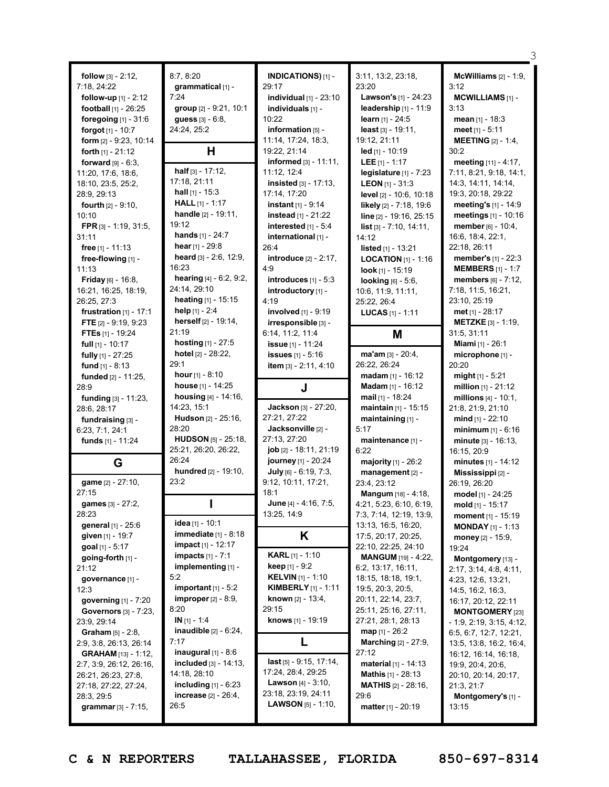|                                    |                                          |                                              |                                                   | З                                          |
|------------------------------------|------------------------------------------|----------------------------------------------|---------------------------------------------------|--------------------------------------------|
| follow $[3] - 2:12$ ,              | 8:7, 8:20                                | INDICATIONS)[1] -                            | 3:11, 13:2, 23:18,                                | McWilliams $[2] - 1:9$ ,                   |
| 7:18, 24:22                        | qrammatical [1] -                        | 29:17                                        | 23:20                                             | 3:12                                       |
| follow-up [1] - 2:12               | 7:24                                     | individual $[1]$ - $23:10$                   | Lawson's [1] - 24:23                              | <b>MCWILLIAMS [1] -</b>                    |
| football [1] - 26:25               | group [2] - 9:21, 10:1                   | individuals [1] -                            | leadership $[1] - 11:9$                           | 3:13                                       |
| foregoing $[1]$ - 31:6             | <b>guess</b> $[3] - 6:8$ ,               | 10:22                                        | learn $[1] - 24:5$                                | mean $[1] - 18:3$                          |
| forgot $[1] - 10:7$                | 24:24, 25:2                              | information [5] -                            | least $[3] - 19:11$ ,                             | meet $[1] - 5:11$                          |
| form $[2] - 9:23, 10:14$           |                                          | 11:14, 17:24, 18:3,                          | 19:12, 21:11                                      | <b>MEETING</b> [2] - 1:4,                  |
| forth $[1] - 21:12$                | н                                        | 19:22, 21:14                                 | $led$ [1] - 10:19                                 | 30:2                                       |
| forward $[9] - 6:3$ ,              |                                          | informed $[3] - 11:11$ ,                     | <b>LEE</b> $[1] - 1:17$                           | meeting [11] - 4:17.                       |
| 11:20, 17:6, 18:6,                 | half $[3] - 17:12$ ,                     | 11:12, 12:4                                  | legislature $[1] - 7:23$                          | 7:11, 8:21, 9:18, 14:1,                    |
| 18:10, 23:5, 25:2,                 | 17:18, 21:11                             | insisted [3] - 17:13,                        | <b>LEON</b> $[1]$ - 31:3                          | 14:3, 14:11, 14:14,                        |
| 28:9, 29:13                        | <b>hall</b> $[1]$ - 15:3                 | 17:14, 17:20                                 | level $[2] - 10:6, 10:18$                         | 19:3, 20:18, 29:22                         |
| <b>fourth</b> $[2] - 9:10$ ,       | <b>HALL</b> $[1] - 1:17$                 | <b>instant</b> $[1] - 9:14$                  | likely [2] - 7:18, 19:6                           | meeting's [1] - 14:9                       |
| 10:10                              | handle [2] - 19:11,                      | instead $[1] - 21:22$                        | line [2] - 19:16, 25:15                           | meetings [1] - 10:16                       |
| FPR $[3] - 1:19, 31:5,$            | 19:12                                    | interested [1] - 5:4                         | <b>list</b> $[3] - 7:10, 14:11,$                  | member [6] - 10:4,                         |
| 31:11                              | <b>hands</b> $[1] - 24:7$                | international [1] -                          | 14:12                                             | 16:6, 18:4, 22:1,                          |
| free $[1] - 11:13$                 | hear $[1] - 29.8$                        | 26:4                                         | <b>listed</b> $[1]$ - 13:21                       | 22:18, 26:11                               |
| free-flowing [1] -                 | heard [3] - 2:6, 12:9,                   | <b>introduce</b> [2] - 2:17,                 | <b>LOCATION</b> $[1]$ - 1:16                      | member's [1] - 22:3                        |
| 11:13                              | 16:23                                    | 4:9                                          | look $[1]$ - 15:19                                | <b>MEMBERS</b> [1] - 1:7                   |
| <b>Friday</b> [6] - 16:8,          | <b>hearing</b> $[4] - 6:2, 9:2,$         | introduces $[1] - 5:3$                       | <b>looking</b> $[6] - 5:6$ ,                      | members [6] - 7:12,                        |
| 16:21, 16:25, 18:19,               | 24:14, 29:10                             | introductory [1] -                           | 10:6, 11:9, 11:11,                                | 7:18, 11:5, 16:21,                         |
| 26:25, 27:3                        | <b>heating</b> $[1]$ - 15:15             | 4:19                                         | 25:22, 26:4                                       | 23:10, 25:19                               |
| frustration $[1] - 17:1$           | help [1] - 2:4                           | involved [1] - 9:19                          | <b>LUCAS</b> $[1] - 1:11$                         | met [1] - 28:17                            |
| FTE $[2] - 9:19, 9:23$             | herself [2] - 19:14,                     | irresponsible [3] -                          |                                                   | <b>METZKE</b> $[3] - 1:19$ ,               |
| FTEs [1] - 19:24                   | 21:19                                    | 6:14, 11:2, 11:4                             | M                                                 | 31:5, 31:11                                |
| <b>full</b> $[1]$ - 10:17          | hosting [1] - 27:5<br>hotel [2] - 28:22, | issue [1] - 11:24                            |                                                   | Miami [1] - 26:1                           |
| fully $[1]$ - 27:25                | 29:1                                     | <b>issues</b> [1] - 5:16                     | ma'am [3] - 20:4,<br>26:22, 26:24                 | microphone [1] -                           |
| fund $[1] - 8:13$                  | hour $[1] - 8:10$                        | item [3] - 2:11, 4:10                        |                                                   | 20:20                                      |
| funded [2] - 11:25,<br>28:9        | house [1] - 14:25                        |                                              | $madam$ [1] - 16:12<br>Madam [1] - 16:12          | $might[1] - 5:21$<br>million $[1] - 21:12$ |
| funding [3] - 11:23,               | <b>housing</b> $[4] - 14:16$ ,           | J                                            |                                                   |                                            |
|                                    |                                          |                                              |                                                   |                                            |
|                                    |                                          |                                              | mail $[1]$ - 18:24                                | millions $[4] - 10:1$ ,                    |
| 28:6, 28:17                        | 14:23, 15:1                              | Jackson [3] - 27:20,                         | maintain [1] - 15:15                              | 21:8, 21:9, 21:10                          |
| fundraising [3] -                  | Hudson [2] - 25:16,                      | 27:21, 27:22                                 | maintaining $[1]$ -                               | mind $[1]$ - 22:10                         |
| 6:23, 7:1, 24:1                    | 28:20                                    | Jacksonville [2] -                           | 5:17                                              | minimum $[1] - 6:16$                       |
| funds [1] - 11:24                  | <b>HUDSON</b> [5] - 25:18,               | 27:13, 27:20<br>job [2] - 18:11, 21:19       | maintenance [1] -                                 | minute $[3] - 16:13$ ,                     |
|                                    | 25:21, 26:20, 26:22,<br>26:24            |                                              | 6:22                                              | 16:15, 20:9                                |
| G                                  | hundred [2] - 19:10,                     | journey [1] - 20:24<br>July [6] - 6:19, 7:3, | majority [1] - 26:2                               | minutes $[1] - 14:12$                      |
| game [2] - 27:10,                  | 23:2                                     | 9:12, 10:11, 17:21,                          | management [2] -<br>23:4, 23:12                   | Mississippi [2] -<br>26:19, 26:20          |
| 27.15                              |                                          | 18.1                                         | Mangum [18] - 4:18,                               |                                            |
| games [3] - 27:2,                  |                                          | June [4] - 4:16, 7:5,                        | 4:21, 5:23, 6:10, 6:19,                           | model [1] - 24:25<br>mold $[1]$ - 15:17    |
| 28:23                              |                                          | 13:25, 14:9                                  | 7:3, 7:14, 12:19, 13:9,                           | moment [1] - 15:19                         |
| general [1] - 25:6                 | <b>idea</b> [1] - 10:1                   |                                              | 13:13, 16:5, 16:20,                               | <b>MONDAY</b> $[1] - 1:13$                 |
| given [1] - 19:7                   | <b>immediate</b> $[1] - 8:18$            | Κ                                            | 17:5, 20:17, 20:25,                               | money [2] - 15:9,                          |
| goal [1] - 5:17                    | <b>impact</b> [1] - 12:17                |                                              | 22:10, 22:25, 24:10                               | 19:24                                      |
| going-forth $[1]$ -                | <b>impacts</b> $[1] - 7:1$               | <b>KARL</b> [1] - 1:10                       | MANGUM [19] - 4:22,                               | Montgomery [13] -                          |
| 21:12                              | implementing [1] -                       | <b>keep</b> $[1] - 9:2$                      | 6:2, 13:17, 16:11,                                | 2:17, 3:14, 4:8, 4:11,                     |
| governance [1] -                   | 5:2                                      | <b>KELVIN</b> [1] - 1:10                     | 18:15, 18:18, 19:1,                               | 4:23, 12:6, 13:21,                         |
| 12:3                               | important $[1] - 5:2$                    | <b>KIMBERLY</b> [1] - 1:11                   | 19:5, 20:3, 20:5,                                 | 14:5, 16:2, 16:3,                          |
| governing $[1]$ - 7:20             | <b>improper</b> $[2] - 8:9$ ,            | <b>known</b> $[2] - 13:4$                    | 20:11, 22:14, 23:7,                               | 16:17, 20:12, 22:11                        |
| <b>Governors</b> [3] - 7:23,       | 8:20                                     | 29:15                                        | 25:11, 25:16, 27:11,                              | <b>MONTGOMERY</b> [23]                     |
| 23:9, 29:14                        | $IN [1] - 1:4$                           | <b>knows</b> [1] - 19:19                     | 27:21, 28:1, 28:13                                | $-1:9, 2:19, 3:15, 4:12,$                  |
| <b>Graham</b> $[5] - 2:8$ ,        | <b>inaudible</b> $[2] - 6:24$ ,          |                                              | $map_{[1]} - 26:2$                                | 6:5, 6:7, 12:7, 12:21,                     |
| 2:9, 3:8, 26:13, 26:14             | 7:17                                     | L                                            | <b>Marching</b> $[2] - 27:9$ ,                    | 13:5, 13:8, 16:2, 16:4,                    |
| <b>GRAHAM</b> [13] - 1:12,         | inaugural $[1]$ - 8:6                    | last $[5] - 9:15, 17:14,$                    | 27:12                                             | 16:12, 16:14, 16:18,                       |
| 2:7, 3:9, 26:12, 26:16,            | included $[3] - 14:13$ ,<br>14:18, 28:10 | 17:24, 28:4, 29:25                           | <b>material</b> $[1] - 14:13$                     | 19:9, 20:4, 20:6,                          |
| 26:21, 26:23, 27:8,                | including $[1]$ - 6:23                   | <b>Lawson</b> $[4] - 3:10$ ,                 | Mathis [1] - 28:13<br><b>MATHIS</b> $[2] - 28:16$ | 20:10, 20:14, 20:17,                       |
| 27:18, 27:22, 27:24,<br>28:3, 29:5 | <b>increase</b> $[2] - 26:4$ ,           | 23:18, 23:19, 24:11                          | 29:6                                              | 21:3, 21:7<br>Montgomery's [1] -           |
| grammar $[3] - 7:15$ ,             | 26:5                                     | <b>LAWSON</b> $[5] - 1:10$ ,                 | <b>matter</b> $[1] - 20:19$                       | 13:15                                      |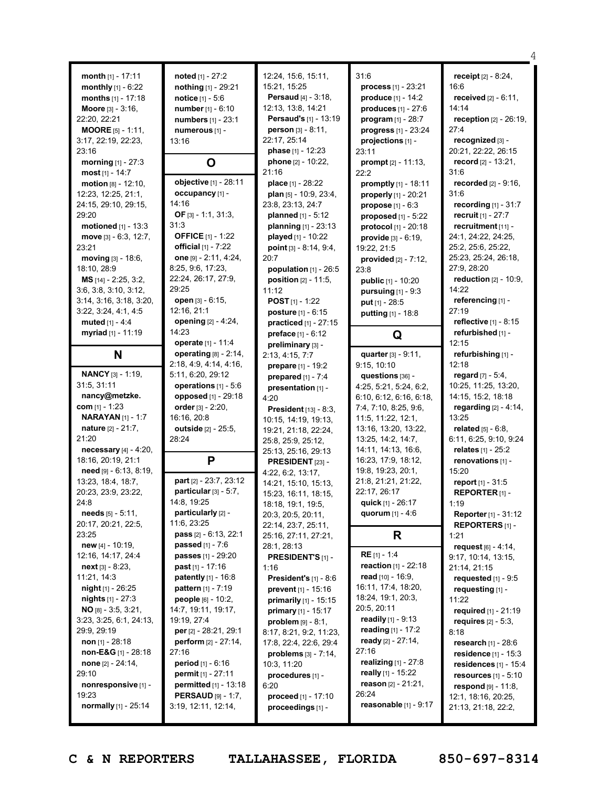|                                 |                                                             |                                 |                                | 4                                |
|---------------------------------|-------------------------------------------------------------|---------------------------------|--------------------------------|----------------------------------|
| month $[1] - 17:11$             | noted [1] - 27:2                                            | 12:24, 15:6, 15:11,             | 31:6                           | receipt $[2] - 8:24$ ,           |
| monthly $[1] - 6:22$            | nothing [1] - 29:21                                         | 15:21, 15:25                    | <b>process</b> $[1] - 23:21$   | 16:6                             |
| months [1] - 17:18              | notice [1] - 5:6                                            | <b>Persaud</b> $[4] - 3:18$ ,   | produce $[1] - 14:2$           | <b>received</b> $[2] - 6:11$ ,   |
| Moore [3] - 3:16,               | number $[1] - 6:10$                                         | 12:13, 13:8, 14:21              | produces $[1] - 27:6$          | 14:14                            |
|                                 |                                                             | Persaud's [1] - 13:19           |                                | <b>reception</b> $[2] - 26:19$ , |
| 22:20, 22:21                    | numbers [1] - 23:1                                          | person [3] - 8:11,              | program $[1] - 28:7$           | 27:4                             |
| <b>MOORE</b> $[5] - 1:11$ ,     | numerous [1] -                                              | 22:17, 25:14                    | progress [1] - 23:24           | recognized [3] -                 |
| 3:17, 22:19, 22:23,<br>23:16    | 13:16                                                       | phase [1] - 12:23               | projections [1] -<br>23:11     | 20:21, 22:22, 26:15              |
| morning [1] - 27:3              |                                                             | phone [2] - 10:22,              | prompt $[2] - 11:13$ ,         | record $[2] - 13:21$ ,           |
| most $[1] - 14:7$               | O                                                           | 21:16                           | 22:2                           | 31:6                             |
| motion $[8] - 12:10$ ,          | objective [1] - 28:11                                       | place [1] - 28:22               | <b>promptly</b> $[1]$ - 18:11  | <b>recorded</b> $[2] - 9:16$ ,   |
| 12:23, 12:25, 21:1,             | occupancy [1] -                                             | plan [5] - 10:9, 23:4,          | properly [1] - 20:21           | 31:6                             |
| 24:15, 29:10, 29:15,            | 14:16                                                       | 23:8, 23:13, 24:7               | <b>propose</b> $[1] - 6:3$     | recording $[1] - 31:7$           |
| 29:20                           | OF $[3] - 1:1, 31:3,$                                       | planned $[1] - 5:12$            | proposed $[1]$ - 5:22          | <b>recruit</b> $[1] - 27:7$      |
| motioned $[1]$ - 13:3           | 31:3                                                        | planning [1] - 23:13            | protocol [1] - 20:18           | recruitment [11] -               |
| move [3] - 6:3, 12:7,           | <b>OFFICE</b> [1] - 1:22                                    | played [1] - 10:22              | <b>provide</b> $[3] - 6:19$ ,  | 24:1, 24:22, 24:25,              |
| 23:21                           | official $[1] - 7:22$                                       | point [3] - 8:14, 9:4,          | 19:22, 21:5                    | 25:2, 25:6, 25:22,               |
| moving [3] - 18:6,              | one [9] - 2:11, 4:24,                                       | 20:7                            | provided [2] - 7:12,           | 25:23, 25:24, 26:18,             |
| 18:10, 28:9                     | 8:25, 9:6, 17:23,                                           | population $[1]$ - 26:5         | 23:8                           | 27:9, 28:20                      |
| MS [14] - 2:25, 3:2,            | 22:24, 26:17, 27:9,                                         | position [2] - 11:5,            | public [1] - 10:20             | reduction [2] - 10:9,            |
| 3:6, 3:8, 3:10, 3:12,           | 29:25                                                       | 11:12                           | pursuing $[1]$ - $9:3$         | 14:22                            |
| 3:14, 3:16, 3:18, 3:20,         | open [3] - 6:15,                                            | <b>POST</b> $[1]$ - 1:22        | $put$ [1] - 28:5               | referencing [1] -                |
| 3:22, 3:24, 4:1, 4:5            | 12:16, 21:1                                                 | posture [1] - 6:15              |                                | 27:19                            |
| muted $[1] - 4:4$               | opening [2] - 4:24,                                         | practiced [1] - 27:15           | putting [1] - 18:8             | reflective [1] - 8:15            |
| myriad [1] - 11:19              | 14:23                                                       | <b>preface</b> $[1] - 6:12$     |                                | refurbished [1] -                |
|                                 | operate [1] - 11:4                                          | preliminary [3] -               | Q                              | 12:15                            |
| N                               | operating [8] - 2:14,                                       | 2:13, 4:15, 7:7                 | quarter [3] - 9:11,            | refurbishing [1] -               |
|                                 | 2:18, 4:9, 4:14, 4:16,                                      | prepare [1] - 19:2              | 9:15, 10:10                    | 12:18                            |
| <b>NANCY</b> [3] - 1:19,        | 5:11, 6:20, 29:12                                           | prepared $[1] - 7:4$            | questions [36] -               | regard $[7] - 5:4$ ,             |
| 31:5, 31:11                     | operations [1] - 5:6                                        | presentation [1] -              | 4:25, 5:21, 5:24, 6:2,         | 10:25, 11:25, 13:20,             |
| nancy@metzke.                   | opposed [1] - 29:18                                         | 4:20                            | 6:10, 6:12, 6:16, 6:18,        | 14:15, 15:2, 18:18               |
| com $[1] - 1:23$                | order [3] - 2:20,                                           | <b>President</b> $[13] - 8:3$ , | 7:4, 7:10, 8:25, 9:6,          | regarding $[2] - 4:14$ ,         |
| <b>NARAYAN</b> [1] - 1:7        | 16:16, 20:8                                                 | 10:15, 14:19, 19:13,            | 11:5, 11:22, 12:1,             | 13:25                            |
| <b>nature</b> $[2] - 21:7$ ,    | outside [2] - 25:5,                                         | 19:21, 21:18, 22:24,            | 13:16, 13:20, 13:22,           | <b>related</b> $[5] - 6:8$ ,     |
| 21:20                           | 28:24                                                       | 25:8, 25:9, 25:12,              | 13:25, 14:2, 14:7,             | 6:11, 6:25, 9:10, 9:24           |
| <b>necessary</b> $[4] - 4:20$ , |                                                             | 25:13, 25:16, 29:13             | 14:11, 14:13, 16:6,            | relates [1] - 25:2               |
| 18:16, 20:19, 21:1              | P                                                           | PRESIDENT [23] -                | 16:23, 17:9, 18:12,            | renovations [1] -                |
| $need$ [9] - 6:13, 8:19,        |                                                             | 4:22, 6:2, 13:17,               | 19:8, 19:23, 20:1,             | 15:20                            |
| 13:23, 18:4, 18:7,              | part [2] - 23:7, 23:12                                      | 14:21, 15:10, 15:13,            | 21:8, 21:21, 21:22,            | <b>report</b> $[1] - 31:5$       |
| 20:23, 23:9, 23:22,             | particular $[3] - 5.7$ ,                                    | 15:23, 16:11, 18:15,            | 22:17, 26:17                   | REPORTER <sub>[1]</sub> -        |
| 24:8                            | 14:8, 19:25                                                 | 18:18, 19:1, 19:5,              | quick [1] - 26:17              | 1:19                             |
| needs $[5] - 5:11$ ,            | particularly [2] -                                          | 20:3, 20:5, 20:11,              | quorum [1] - 4:6               | <b>Reporter</b> [1] - 31:12      |
| 20:17, 20:21, 22:5,             | 11:6, 23:25                                                 | 22:14, 23:7, 25:11,             |                                | <b>REPORTERS</b> [1] -           |
| 23:25                           | pass [2] - 6:13, 22:1                                       | 25:16, 27:11, 27:21,            | R                              | 1:21                             |
| new $[4] - 10:19$ ,             | <b>passed</b> $[1] - 7:6$                                   | 28:1, 28:13                     |                                | request [6] - 4:14,              |
| 12:16, 14:17, 24:4              | passes [1] - 29:20                                          | <b>PRESIDENT'S [1] -</b>        | <b>RE</b> [1] - 1:4            | 9:17, 10:14, 13:15,              |
| $next[3] - 8:23$ ,              | <b>past</b> $[1] - 17:16$                                   | 1:16                            | <b>reaction</b> $[1] - 22:18$  | 21:14, 21:15                     |
| 11:21, 14:3                     | <b>patently</b> $[1] - 16:8$                                | <b>President's</b> $[1] - 8:6$  | read $[10] - 16:9$ ,           | requested $[1]$ - $9:5$          |
| night [1] - 26:25               | <b>pattern</b> $[1] - 7:19$                                 | prevent [1] - 15:16             | 16:11, 17:4, 18:20,            | requesting [1] -                 |
| <b>nights</b> $[1] - 27:3$      | people [6] - 10:2,                                          | primarily [1] - 15:15           | 18:24, 19:1, 20:3,             | 11:22                            |
| $NO$ [8] - 3:5, 3:21,           | 14:7, 19:11, 19:17,                                         | primary [1] - 15:17             | 20:5, 20:11                    | required $[1] - 21:19$           |
| 3:23, 3:25, 6:1, 24:13,         | 19:19, 27:4                                                 | problem $[9] - 8:1$ ,           | readily $[1] - 9:13$           | <b>requires</b> $[2] - 5:3$ ,    |
| 29:9, 29:19                     | per [2] - 28:21, 29:1                                       | 8:17, 8:21, 9:2, 11:23,         | reading $[1] - 17:2$           | 8:18                             |
| non $[1]$ - 28:18               | perform $[2] - 27:14$ ,                                     | 17:8, 22:4, 22:6, 29:4          | ready $[2] - 27:14$ ,<br>27:16 | <b>research</b> $[1] - 28:6$     |
| non-E&G $[1]$ - 28:18           | 27:16                                                       | problems $[3] - 7:14$ ,         | <b>realizing</b> $[1] - 27:8$  | residence $[1]$ - 15:3           |
| <b>none</b> $[2] - 24:14$ ,     | <b>period</b> $[1] - 6:16$                                  | 10:3, 11:20                     | really $[1]$ - 15:22           | residences $[1]$ - 15:4          |
| 29:10                           | permit [1] - 27:11                                          | procedures [1] -                | reason $[2] - 21:21$ ,         | resources $[1] - 5:10$           |
| nonresponsive [1] -             | <b>permitted</b> $[1] - 13:18$<br><b>PERSAUD</b> [9] - 1:7, | 6:20                            | 26:24                          | respond [9] - 11:8,              |
| 19:23                           |                                                             |                                 |                                |                                  |
|                                 |                                                             | <b>proceed</b> $[1] - 17:10$    |                                | 12:1, 18:16, 20:25,              |
| normally [1] - 25:14            | 3:19, 12:11, 12:14,                                         | proceedings [1] -               | reasonable $[1]$ - $9:17$      | 21:13, 21:18, 22:2,              |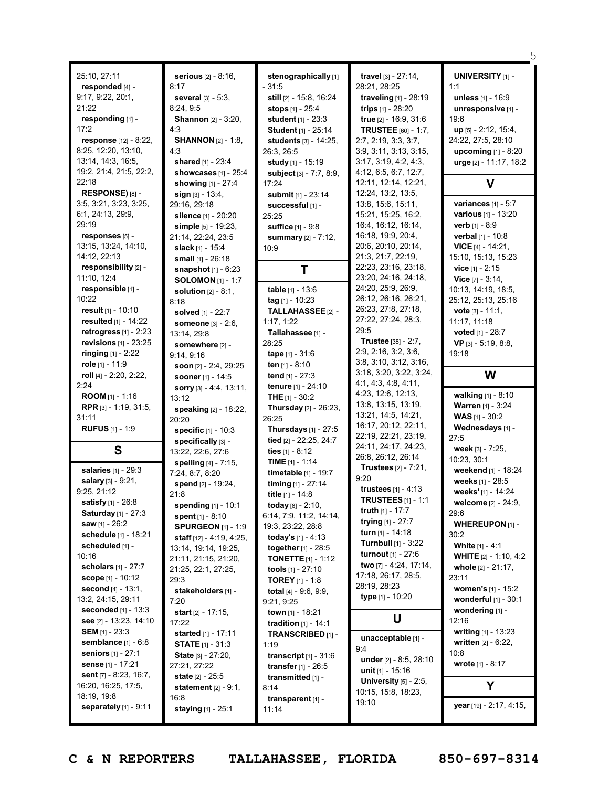| 25:10, 27:11<br>responded [4] -<br>9:17, 9:22, 20:1,<br>21:22<br>responding [1] -<br>17:2<br>response [12] - 8:22,<br>8:25, 12:20, 13:10,<br>13:14, 14:3, 16:5,<br>19:2, 21:4, 21:5, 22:2,<br>22:18                                                                                                                                                                                                                                                                                                                | serious [2] - 8:16,<br>8:17<br>several [3] - 5:3.<br>8:24,9:5<br><b>Shannon</b> [2] - 3:20,<br>4:3<br><b>SHANNON</b> [2] - 1:8,<br>4:3<br>shared [1] - 23:4<br>showcases [1] - 25:4                                                                                                                                                                                                                                                                                              | stenographically [1]<br>- 31:5<br>still [2] - 15:8, 16:24<br><b>stops</b> $[1] - 25:4$<br>student [1] - 23:3<br>Student [1] - 25:14<br>students [3] - 14:25,<br>26:3, 26:5<br>study [1] - 15:19<br>subject [3] - 7:7, 8:9,                                                                                                                                                                                                                                                                                             | travel [3] - 27:14,<br>28:21, 28:25<br>traveling [1] - 28:19<br>trips $[1] - 28:20$<br>true [2] - 16:9, 31:6<br><b>TRUSTEE</b> [60] - 1:7,<br>2:7, 2:19, 3:3, 3:7,<br>3:9, 3:11, 3:13, 3:15,<br>3:17, 3:19, 4:2, 4:3,<br>4:12, 6:5, 6:7, 12:7,<br>12:11, 12:14, 12:21,                                                                                                                                                                       | <b>UNIVERSITY</b> [1] -<br>1:1<br>unless [1] - 16:9<br>unresponsive [1] -<br>19:6<br>up [5] - 2:12, 15:4,<br>24:22, 27:5, 28:10<br>upcoming [1] - 8:20<br>urge [2] - 11:17, 18:2<br>V                                                                                                                                                                                                                           |
|--------------------------------------------------------------------------------------------------------------------------------------------------------------------------------------------------------------------------------------------------------------------------------------------------------------------------------------------------------------------------------------------------------------------------------------------------------------------------------------------------------------------|----------------------------------------------------------------------------------------------------------------------------------------------------------------------------------------------------------------------------------------------------------------------------------------------------------------------------------------------------------------------------------------------------------------------------------------------------------------------------------|------------------------------------------------------------------------------------------------------------------------------------------------------------------------------------------------------------------------------------------------------------------------------------------------------------------------------------------------------------------------------------------------------------------------------------------------------------------------------------------------------------------------|----------------------------------------------------------------------------------------------------------------------------------------------------------------------------------------------------------------------------------------------------------------------------------------------------------------------------------------------------------------------------------------------------------------------------------------------|-----------------------------------------------------------------------------------------------------------------------------------------------------------------------------------------------------------------------------------------------------------------------------------------------------------------------------------------------------------------------------------------------------------------|
| RESPONSE) [8] -                                                                                                                                                                                                                                                                                                                                                                                                                                                                                                    | showing [1] - 27:4<br>sign [3] - 13:4,                                                                                                                                                                                                                                                                                                                                                                                                                                           | 17:24<br>submit [1] - 23:14                                                                                                                                                                                                                                                                                                                                                                                                                                                                                            | 12:24, 13:2, 13:5,                                                                                                                                                                                                                                                                                                                                                                                                                           |                                                                                                                                                                                                                                                                                                                                                                                                                 |
| 3:5, 3:21, 3:23, 3:25,<br>6:1, 24:13, 29:9,<br>29:19<br>responses [5] -<br>13:15, 13:24, 14:10,<br>14:12, 22:13                                                                                                                                                                                                                                                                                                                                                                                                    | 29:16, 29:18<br>silence [1] - 20:20<br>simple [5] - 19:23,<br>21:14, 22:24, 23:5<br>slack [1] - 15:4<br>small [1] - 26:18                                                                                                                                                                                                                                                                                                                                                        | successful [1] -<br>25:25<br>suffice [1] - 9:8<br>summary [2] - 7:12,<br>10:9                                                                                                                                                                                                                                                                                                                                                                                                                                          | 13:8, 15:6, 15:11,<br>15:21, 15:25, 16:2,<br>16:4, 16:12, 16:14,<br>16:18, 19:9, 20:4,<br>20:6, 20:10, 20:14,<br>21:3, 21:7, 22:19,                                                                                                                                                                                                                                                                                                          | variances $[1] - 5:7$<br><b>various</b> [1] - 13:20<br><b>verb</b> $[1] - 8:9$<br>verbal [1] - 10:8<br><b>VICE</b> [4] - 14:21,<br>15:10, 15:13, 15:23                                                                                                                                                                                                                                                          |
| responsibility [2] -                                                                                                                                                                                                                                                                                                                                                                                                                                                                                               | <b>snapshot</b> $[1] - 6:23$                                                                                                                                                                                                                                                                                                                                                                                                                                                     | Т                                                                                                                                                                                                                                                                                                                                                                                                                                                                                                                      | 22:23, 23:16, 23:18,                                                                                                                                                                                                                                                                                                                                                                                                                         | <b>vice</b> $[1] - 2:15$                                                                                                                                                                                                                                                                                                                                                                                        |
| 11:10, 12:4<br>responsible [1] -<br>10:22<br>result $[1]$ - 10:10<br>resulted [1] - 14:22<br>retrogress $[1]$ - 2:23<br>revisions $[1]$ - 23:25<br><b>ringing</b> $[1] - 2:22$<br>role [1] - 11:9                                                                                                                                                                                                                                                                                                                  | <b>SOLOMON</b> [1] - 1:7<br>solution $[2] - 8:1$ ,<br>8:18<br>solved [1] - 22:7<br>someone [3] - 2:6,<br>13:14, 29:8<br>somewhere [2] -<br>9:14, 9:16<br>soon $[2] - 2:4$ , 29:25                                                                                                                                                                                                                                                                                                | table [1] - 13:6<br>$tag [1] - 10:23$<br>TALLAHASSEE [2] -<br>1:17, 1:22<br>Tallahassee [1] -<br>28:25<br><b>tape</b> $[1] - 31:6$<br><b>ten</b> $[1] - 8:10$                                                                                                                                                                                                                                                                                                                                                          | 23:20, 24:16, 24:18,<br>24:20, 25:9, 26:9,<br>26:12, 26:16, 26:21,<br>26:23, 27:8, 27:18,<br>27:22, 27:24, 28:3,<br>29:5<br><b>Trustee</b> [38] - 2:7,<br>2:9, 2:16, 3:2, 3:6,<br>3:8, 3:10, 3:12, 3:16,                                                                                                                                                                                                                                     | Vice $[7] - 3:14$ ,<br>10:13, 14:19, 18:5,<br>25:12, 25:13, 25:16<br>vote [3] - 11:1,<br>11:17, 11:18<br>voted [1] - 28:7<br>VP [3] - 5:19, 8:8,<br>19:18                                                                                                                                                                                                                                                       |
| roll [4] - 2:20, 2:22,<br>2:24                                                                                                                                                                                                                                                                                                                                                                                                                                                                                     | <b>sooner</b> $[1] - 14:5$                                                                                                                                                                                                                                                                                                                                                                                                                                                       | tend $[1] - 27:3$<br><b>tenure</b> [1] - 24:10                                                                                                                                                                                                                                                                                                                                                                                                                                                                         | 3:18, 3:20, 3:22, 3:24,<br>4:1, 4:3, 4:8, 4:11,                                                                                                                                                                                                                                                                                                                                                                                              | W                                                                                                                                                                                                                                                                                                                                                                                                               |
| ROOM [1] - 1:16<br>RPR [3] - 1:19, 31:5,<br>31:11<br><b>RUFUS</b> $[1]$ - 1:9                                                                                                                                                                                                                                                                                                                                                                                                                                      | sorry [3] - 4:4, 13:11,<br>13:12<br>speaking [2] - 18:22,<br>20:20<br><b>specific</b> $[1] - 10:3$                                                                                                                                                                                                                                                                                                                                                                               | <b>THE</b> $[1] - 30:2$<br><b>Thursday</b> [2] - 26:23,<br>26:25<br>Thursdays [1] - 27:5                                                                                                                                                                                                                                                                                                                                                                                                                               | 4:23, 12:6, 12:13,<br>13:8, 13:15, 13:19,<br>13:21, 14:5, 14:21,<br>16:17, 20:12, 22:11,<br>22:19, 22:21, 23:19,                                                                                                                                                                                                                                                                                                                             | walking [1] - 8:10<br>Warren [1] - 3:24<br><b>WAS</b> $[1]$ - 30:2<br>Wednesdays [1] -<br>27:5                                                                                                                                                                                                                                                                                                                  |
| S                                                                                                                                                                                                                                                                                                                                                                                                                                                                                                                  | specifically [3] -<br>13:22, 22:6, 27:6                                                                                                                                                                                                                                                                                                                                                                                                                                          | tied [2] - 22:25, 24:7<br>ties $[1]$ - 8:12                                                                                                                                                                                                                                                                                                                                                                                                                                                                            | 24:11, 24:17, 24:23,                                                                                                                                                                                                                                                                                                                                                                                                                         | week [3] - 7:25,                                                                                                                                                                                                                                                                                                                                                                                                |
| salaries [1] - 29:3<br>salary [3] - 9:21,<br>9:25, 21:12<br><b>satisfy</b> $[1] - 26:8$<br><b>Saturday</b> [1] - 27:3<br>saw $[1] - 26:2$<br>schedule [1] - 18:21<br>scheduled [1] -<br>10:16<br>scholars [1] - 27:7<br><b>scope</b> $[1] - 10:12$<br>second $[4] - 13:1$ ,<br>13:2, 24:15, 29:11<br><b>seconded</b> $[1] - 13:3$<br>see [2] - 13:23, 14:10<br><b>SEM</b> [1] - 23:3<br>semblance $[1] - 6:8$<br>seniors [1] - 27:1<br>sense [1] - 17:21<br><b>sent</b> $[7] - 8:23, 16:7,$<br>16:20, 16:25, 17:5, | spelling [4] - 7:15,<br>7:24, 8:7, 8:20<br>spend [2] - 19:24,<br>21:8<br>spending [1] - 10:1<br>spent [1] - 8:10<br><b>SPURGEON</b> [1] - 1:9<br><b>staff</b> $[12] - 4:19, 4:25,$<br>13:14, 19:14, 19:25,<br>21:11, 21:15, 21:20,<br>21:25, 22:1, 27:25,<br>29:3<br>stakeholders [1] -<br>7:20<br><b>start</b> $[2] - 17:15$ ,<br>17:22<br><b>started</b> [1] - 17:11<br><b>STATE</b> $[1]$ - 31:3<br><b>State</b> $[3] - 27:20$ ,<br>27:21, 27:22<br><b>state</b> $[2] - 25:5$ | <b>TIME</b> $[1]$ - 1:14<br><b>timetable</b> $[1] - 19:7$<br>timing $[1] - 27:14$<br>title [1] - 14:8<br>today [8] - 2:10,<br>6:14, 7:9, 11:2, 14:14,<br>19:3, 23:22, 28:8<br>today's $[1] - 4:13$<br>together [1] - 28:5<br><b>TONETTE</b> $[1] - 1:12$<br>tools $[1] - 27:10$<br><b>TOREY</b> [1] - 1:8<br>total $[4] - 9.6, 9.9,$<br>9:21, 9:25<br>town $[1]$ - 18:21<br><b>tradition</b> $[1] - 14:1$<br>TRANSCRIBED [1] -<br>1:19<br>transcript $[1]$ - 31:6<br><b>transfer</b> $[1] - 26:5$<br>transmitted [1] - | 26:8, 26:12, 26:14<br>Trustees [2] - 7:21,<br>9:20<br><b>trustees</b> $[1] - 4:13$<br><b>TRUSTEES</b> $[1]$ - 1:1<br>truth $[1]$ - 17:7<br>trying $[1] - 27:7$<br>turn [1] - 14:18<br><b>Turnbull</b> $[1]$ - 3:22<br>turnout [1] - 27:6<br>two [7] - 4:24, 17:14,<br>17:18, 26:17, 28:5,<br>28:19, 28:23<br>type [1] - 10:20<br>U<br>unacceptable [1] -<br>9:4<br>under $[2] - 8:5, 28:10$<br>unit $[1]$ - 15:16<br>University $[5]$ - 2:5, | 10:23, 30:1<br>weekend [1] - 18:24<br>weeks [1] - 28:5<br>weeks' [1] - 14:24<br>welcome [2] - 24:9,<br>29:6<br><b>WHEREUPON</b> $[1]$ -<br>30:2<br><b>White [1] - 4:1</b><br><b>WHITE</b> $[2] - 1:10, 4:2$<br>whole $[2] - 21:17$ ,<br>23:11<br>women's [1] - 15:2<br>wonderful [1] - 30:1<br>wondering [1] -<br>12:16<br>writing [1] - 13:23<br>written [2] - 6:22,<br>10:8<br><b>wrote</b> $[1] - 8:17$<br>Υ |
| 18:19, 19:8<br>separately $[1]$ - 9:11                                                                                                                                                                                                                                                                                                                                                                                                                                                                             | statement $[2] - 9:1$ ,<br>16:8                                                                                                                                                                                                                                                                                                                                                                                                                                                  | 8:14<br>transparent [1] -                                                                                                                                                                                                                                                                                                                                                                                                                                                                                              | 10:15, 15:8, 18:23,<br>19:10                                                                                                                                                                                                                                                                                                                                                                                                                 | year [19] - 2:17, 4:15,                                                                                                                                                                                                                                                                                                                                                                                         |
|                                                                                                                                                                                                                                                                                                                                                                                                                                                                                                                    | staying [1] - 25:1                                                                                                                                                                                                                                                                                                                                                                                                                                                               | 11:14                                                                                                                                                                                                                                                                                                                                                                                                                                                                                                                  |                                                                                                                                                                                                                                                                                                                                                                                                                                              |                                                                                                                                                                                                                                                                                                                                                                                                                 |